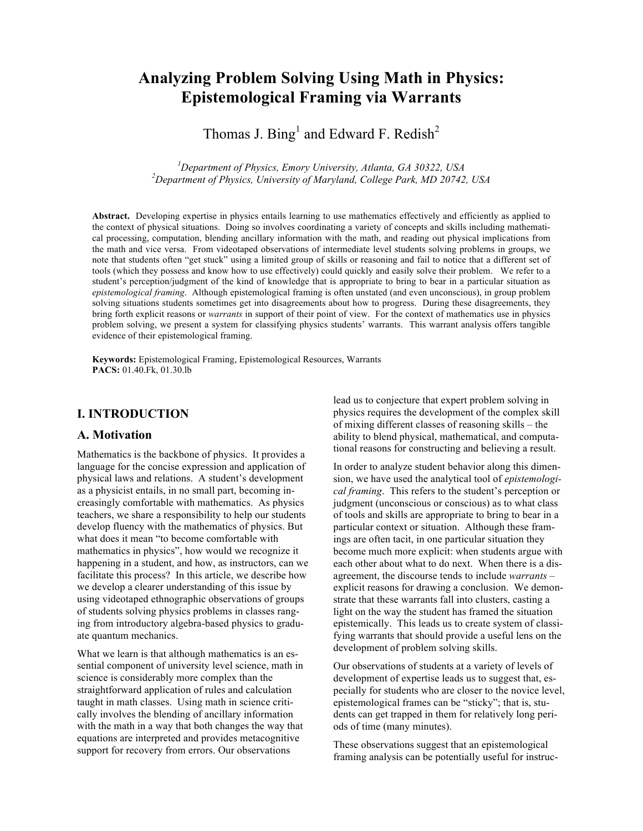## **Analyzing Problem Solving Using Math in Physics: Epistemological Framing via Warrants**

Thomas J.  $\text{Bing}^1$  and Edward F. Redish<sup>2</sup>

<sup>1</sup> Department of Physics, Emory University, Atlanta, GA 30322, USA<sup>2</sup> Department of Physics, University of Manulaud, College Paul, MD 20242 *Department of Physics, University of Maryland, College Park, MD 20742, USA*

**Abstract.** Developing expertise in physics entails learning to use mathematics effectively and efficiently as applied to the context of physical situations. Doing so involves coordinating a variety of concepts and skills including mathematical processing, computation, blending ancillary information with the math, and reading out physical implications from the math and vice versa. From videotaped observations of intermediate level students solving problems in groups, we note that students often "get stuck" using a limited group of skills or reasoning and fail to notice that a different set of tools (which they possess and know how to use effectively) could quickly and easily solve their problem. We refer to a student's perception/judgment of the kind of knowledge that is appropriate to bring to bear in a particular situation as *epistemological framing*. Although epistemological framing is often unstated (and even unconscious), in group problem solving situations students sometimes get into disagreements about how to progress. During these disagreements, they bring forth explicit reasons or *warrants* in support of their point of view. For the context of mathematics use in physics problem solving, we present a system for classifying physics students' warrants. This warrant analysis offers tangible evidence of their epistemological framing.

**Keywords:** Epistemological Framing, Epistemological Resources, Warrants **PACS:** 01.40.Fk, 01.30.lb

#### **I. INTRODUCTION**

#### **A. Motivation**

Mathematics is the backbone of physics. It provides a language for the concise expression and application of physical laws and relations. A student's development as a physicist entails, in no small part, becoming increasingly comfortable with mathematics. As physics teachers, we share a responsibility to help our students develop fluency with the mathematics of physics. But what does it mean "to become comfortable with mathematics in physics", how would we recognize it happening in a student, and how, as instructors, can we facilitate this process? In this article, we describe how we develop a clearer understanding of this issue by using videotaped ethnographic observations of groups of students solving physics problems in classes ranging from introductory algebra-based physics to graduate quantum mechanics.

What we learn is that although mathematics is an essential component of university level science, math in science is considerably more complex than the straightforward application of rules and calculation taught in math classes. Using math in science critically involves the blending of ancillary information with the math in a way that both changes the way that equations are interpreted and provides metacognitive support for recovery from errors. Our observations

lead us to conjecture that expert problem solving in physics requires the development of the complex skill of mixing different classes of reasoning skills – the ability to blend physical, mathematical, and computational reasons for constructing and believing a result.

In order to analyze student behavior along this dimension, we have used the analytical tool of *epistemological framing*. This refers to the student's perception or judgment (unconscious or conscious) as to what class of tools and skills are appropriate to bring to bear in a particular context or situation. Although these framings are often tacit, in one particular situation they become much more explicit: when students argue with each other about what to do next. When there is a disagreement, the discourse tends to include *warrants* – explicit reasons for drawing a conclusion. We demonstrate that these warrants fall into clusters, casting a light on the way the student has framed the situation epistemically. This leads us to create system of classifying warrants that should provide a useful lens on the development of problem solving skills.

Our observations of students at a variety of levels of development of expertise leads us to suggest that, especially for students who are closer to the novice level, epistemological frames can be "sticky"; that is, students can get trapped in them for relatively long periods of time (many minutes).

These observations suggest that an epistemological framing analysis can be potentially useful for instruc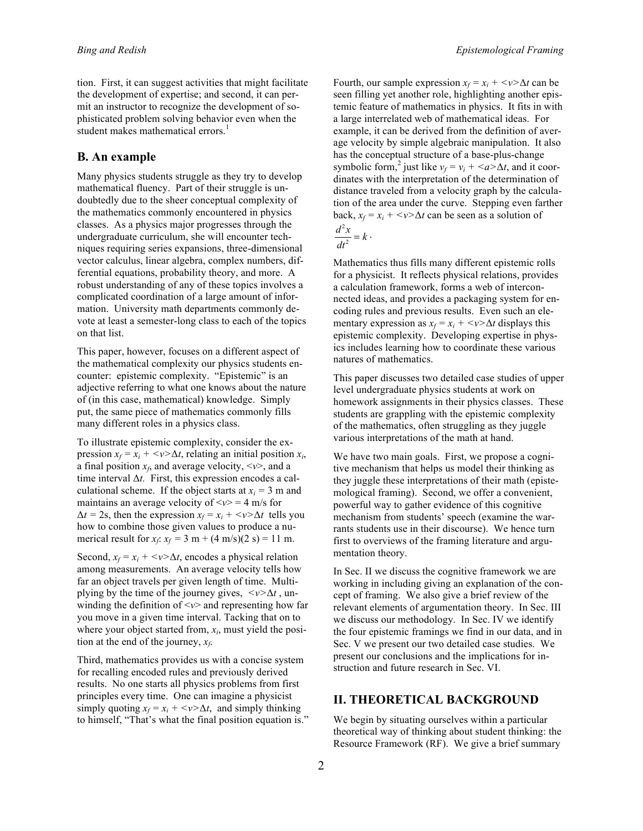tion. First, it can suggest activities that might facilitate the development of expertise; and second, it can permit an instructor to recognize the development of sophisticated problem solving behavior even when the student makes mathematical errors.<sup>1</sup>

#### **B. An example**

Many physics students struggle as they try to develop mathematical fluency. Part of their struggle is undoubtedly due to the sheer conceptual complexity of the mathematics commonly encountered in physics classes. As a physics major progresses through the undergraduate curriculum, she will encounter techniques requiring series expansions, three-dimensional vector calculus, linear algebra, complex numbers, differential equations, probability theory, and more. A robust understanding of any of these topics involves a complicated coordination of a large amount of information. University math departments commonly devote at least a semester-long class to each of the topics on that list.

This paper, however, focuses on a different aspect of the mathematical complexity our physics students encounter: epistemic complexity. "Epistemic" is an adjective referring to what one knows about the nature of (in this case, mathematical) knowledge. Simply put, the same piece of mathematics commonly fills many different roles in a physics class.

To illustrate epistemic complexity, consider the expression  $x_f = x_i + \langle v \rangle \Delta t$ , relating an initial position  $x_i$ , a final position  $x_f$ , and average velocity,  $\langle v \rangle$ , and a time interval  $\Delta t$ . First, this expression encodes a calculational scheme. If the object starts at  $x_i = 3$  m and maintains an average velocity of  $\langle v \rangle = 4$  m/s for  $\Delta t = 2s$ , then the expression  $x_f = x_i + \langle v \rangle \Delta t$  tells you how to combine those given values to produce a numerical result for  $x_f$ :  $x_f$  = 3 m + (4 m/s)(2 s) = 11 m.

Second,  $x_f = x_i + \langle v \rangle \Delta t$ , encodes a physical relation among measurements. An average velocity tells how far an object travels per given length of time. Multiplying by the time of the journey gives,  $\langle v \rangle \Delta t$ , unwinding the definition of  $\langle v \rangle$  and representing how far you move in a given time interval. Tacking that on to where your object started from,  $x_i$ , must yield the position at the end of the journey,  $x_f$ .

Third, mathematics provides us with a concise system for recalling encoded rules and previously derived results. No one starts all physics problems from first principles every time. One can imagine a physicist simply quoting  $x_f = x_i + \langle v \rangle \Delta t$ , and simply thinking to himself, "That's what the final position equation is." Fourth, our sample expression  $x_f = x_i + \langle v \rangle \Delta t$  can be seen filling yet another role, highlighting another epistemic feature of mathematics in physics. It fits in with a large interrelated web of mathematical ideas. For example, it can be derived from the definition of average velocity by simple algebraic manipulation. It also has the conceptual structure of a base-plus-change symbolic form,<sup>2</sup> just like  $v_f = v_i + \langle a \rangle \Delta t$ , and it coordinates with the interpretation of the determination of distance traveled from a velocity graph by the calculation of the area under the curve. Stepping even farther back,  $x_f = x_i + \langle v \rangle \Delta t$  can be seen as a solution of

$$
\frac{d^2x}{dt^2} = k
$$

Mathematics thus fills many different epistemic rolls for a physicist. It reflects physical relations, provides a calculation framework, forms a web of interconnected ideas, and provides a packaging system for encoding rules and previous results. Even such an elementary expression as  $x_f = x_i + \langle v \rangle \Delta t$  displays this epistemic complexity. Developing expertise in physics includes learning how to coordinate these various natures of mathematics.

This paper discusses two detailed case studies of upper level undergraduate physics students at work on homework assignments in their physics classes. These students are grappling with the epistemic complexity of the mathematics, often struggling as they juggle various interpretations of the math at hand.

We have two main goals. First, we propose a cognitive mechanism that helps us model their thinking as they juggle these interpretations of their math (epistemological framing). Second, we offer a convenient, powerful way to gather evidence of this cognitive mechanism from students' speech (examine the warrants students use in their discourse). We hence turn first to overviews of the framing literature and argumentation theory.

In Sec. II we discuss the cognitive framework we are working in including giving an explanation of the concept of framing. We also give a brief review of the relevant elements of argumentation theory. In Sec. III we discuss our methodology. In Sec. IV we identify the four epistemic framings we find in our data, and in Sec. V we present our two detailed case studies. We present our conclusions and the implications for instruction and future research in Sec. VI.

#### **II. THEORETICAL BACKGROUND**

We begin by situating ourselves within a particular theoretical way of thinking about student thinking: the Resource Framework (RF). We give a brief summary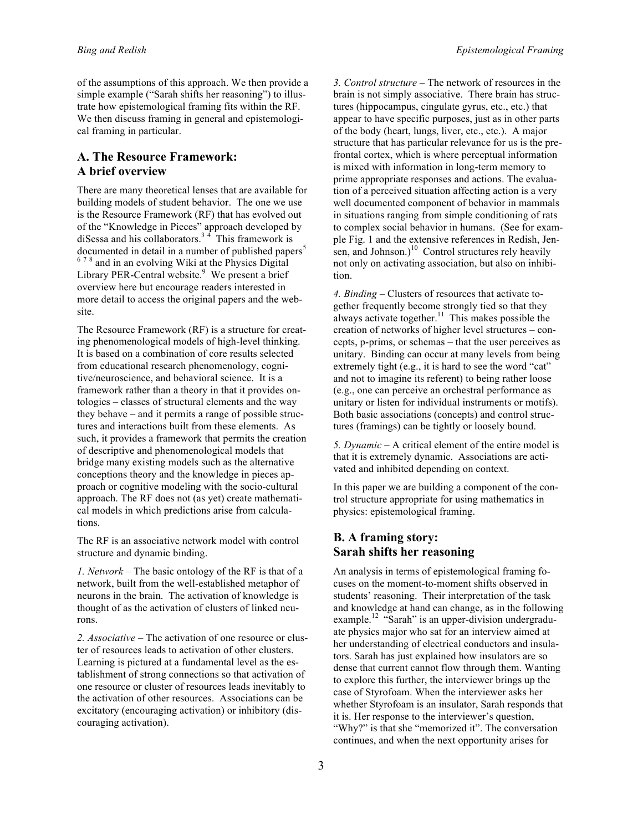of the assumptions of this approach. We then provide a simple example ("Sarah shifts her reasoning") to illustrate how epistemological framing fits within the RF. We then discuss framing in general and epistemological framing in particular.

## **A. The Resource Framework: A brief overview**

There are many theoretical lenses that are available for building models of student behavior. The one we use is the Resource Framework (RF) that has evolved out of the "Knowledge in Pieces" approach developed by diSessa and his collaborators.<sup>34</sup> This framework is documented in detail in a number of published papers<sup>5</sup> <sup>678</sup> and in an evolving Wiki at the Physics Digital Library PER-Central website.<sup>9</sup> We present a brief overview here but encourage readers interested in more detail to access the original papers and the website.

The Resource Framework (RF) is a structure for creating phenomenological models of high-level thinking. It is based on a combination of core results selected from educational research phenomenology, cognitive/neuroscience, and behavioral science. It is a framework rather than a theory in that it provides ontologies – classes of structural elements and the way they behave – and it permits a range of possible structures and interactions built from these elements. As such, it provides a framework that permits the creation of descriptive and phenomenological models that bridge many existing models such as the alternative conceptions theory and the knowledge in pieces approach or cognitive modeling with the socio-cultural approach. The RF does not (as yet) create mathematical models in which predictions arise from calculations.

The RF is an associative network model with control structure and dynamic binding.

*1. Network* – The basic ontology of the RF is that of a network, built from the well-established metaphor of neurons in the brain. The activation of knowledge is thought of as the activation of clusters of linked neurons.

*2. Associative* – The activation of one resource or cluster of resources leads to activation of other clusters. Learning is pictured at a fundamental level as the establishment of strong connections so that activation of one resource or cluster of resources leads inevitably to the activation of other resources. Associations can be excitatory (encouraging activation) or inhibitory (discouraging activation).

*3. Control structure* – The network of resources in the brain is not simply associative. There brain has structures (hippocampus, cingulate gyrus, etc., etc.) that appear to have specific purposes, just as in other parts of the body (heart, lungs, liver, etc., etc.). A major structure that has particular relevance for us is the prefrontal cortex, which is where perceptual information is mixed with information in long-term memory to prime appropriate responses and actions. The evaluation of a perceived situation affecting action is a very well documented component of behavior in mammals in situations ranging from simple conditioning of rats to complex social behavior in humans. (See for example Fig. 1 and the extensive references in Redish, Jensen, and Johnson.)<sup>10</sup> Control structures rely heavily not only on activating association, but also on inhibition.

*4. Binding* – Clusters of resources that activate together frequently become strongly tied so that they always activate together.<sup>11</sup> This makes possible the creation of networks of higher level structures – concepts, p-prims, or schemas – that the user perceives as unitary. Binding can occur at many levels from being extremely tight (e.g., it is hard to see the word "cat" and not to imagine its referent) to being rather loose (e.g., one can perceive an orchestral performance as unitary or listen for individual instruments or motifs). Both basic associations (concepts) and control structures (framings) can be tightly or loosely bound.

*5. Dynamic* – A critical element of the entire model is that it is extremely dynamic. Associations are activated and inhibited depending on context.

In this paper we are building a component of the control structure appropriate for using mathematics in physics: epistemological framing.

## **B. A framing story: Sarah shifts her reasoning**

An analysis in terms of epistemological framing focuses on the moment-to-moment shifts observed in students' reasoning. Their interpretation of the task and knowledge at hand can change, as in the following example.<sup>12</sup> "Sarah" is an upper-division undergraduate physics major who sat for an interview aimed at her understanding of electrical conductors and insulators. Sarah has just explained how insulators are so dense that current cannot flow through them. Wanting to explore this further, the interviewer brings up the case of Styrofoam. When the interviewer asks her whether Styrofoam is an insulator, Sarah responds that it is. Her response to the interviewer's question, "Why?" is that she "memorized it". The conversation continues, and when the next opportunity arises for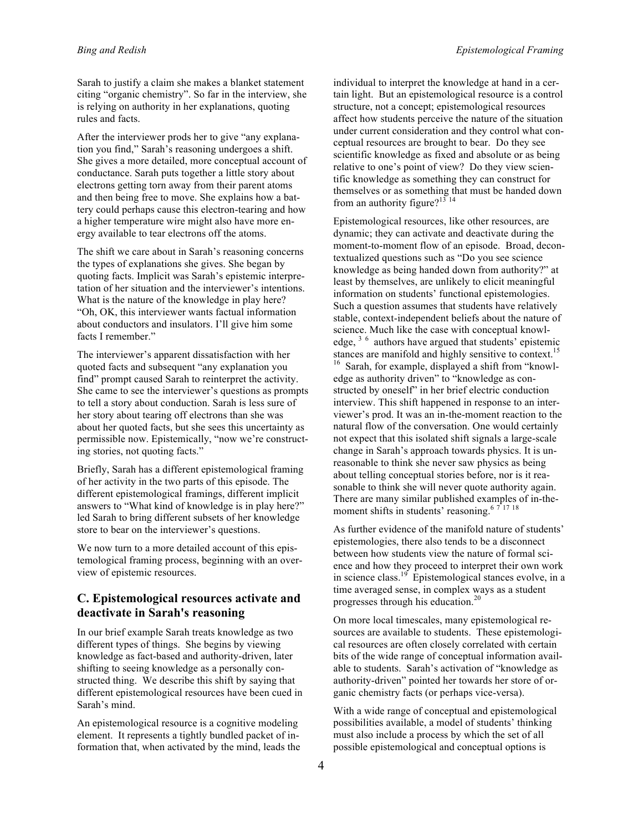Sarah to justify a claim she makes a blanket statement citing "organic chemistry". So far in the interview, she is relying on authority in her explanations, quoting rules and facts.

After the interviewer prods her to give "any explanation you find," Sarah's reasoning undergoes a shift. She gives a more detailed, more conceptual account of conductance. Sarah puts together a little story about electrons getting torn away from their parent atoms and then being free to move. She explains how a battery could perhaps cause this electron-tearing and how a higher temperature wire might also have more energy available to tear electrons off the atoms.

The shift we care about in Sarah's reasoning concerns the types of explanations she gives. She began by quoting facts. Implicit was Sarah's epistemic interpretation of her situation and the interviewer's intentions. What is the nature of the knowledge in play here? "Oh, OK, this interviewer wants factual information about conductors and insulators. I'll give him some facts I remember."

The interviewer's apparent dissatisfaction with her quoted facts and subsequent "any explanation you find" prompt caused Sarah to reinterpret the activity. She came to see the interviewer's questions as prompts to tell a story about conduction. Sarah is less sure of her story about tearing off electrons than she was about her quoted facts, but she sees this uncertainty as permissible now. Epistemically, "now we're constructing stories, not quoting facts."

Briefly, Sarah has a different epistemological framing of her activity in the two parts of this episode. The different epistemological framings, different implicit answers to "What kind of knowledge is in play here?" led Sarah to bring different subsets of her knowledge store to bear on the interviewer's questions.

We now turn to a more detailed account of this epistemological framing process, beginning with an overview of epistemic resources.

## **C. Epistemological resources activate and deactivate in Sarah's reasoning**

In our brief example Sarah treats knowledge as two different types of things. She begins by viewing knowledge as fact-based and authority-driven, later shifting to seeing knowledge as a personally constructed thing. We describe this shift by saying that different epistemological resources have been cued in Sarah's mind.

An epistemological resource is a cognitive modeling element. It represents a tightly bundled packet of information that, when activated by the mind, leads the individual to interpret the knowledge at hand in a certain light. But an epistemological resource is a control structure, not a concept; epistemological resources affect how students perceive the nature of the situation under current consideration and they control what conceptual resources are brought to bear. Do they see scientific knowledge as fixed and absolute or as being relative to one's point of view? Do they view scientific knowledge as something they can construct for themselves or as something that must be handed down from an authority figure?<sup>13 14</sup>

Epistemological resources, like other resources, are dynamic; they can activate and deactivate during the moment-to-moment flow of an episode. Broad, decontextualized questions such as "Do you see science knowledge as being handed down from authority?" at least by themselves, are unlikely to elicit meaningful information on students' functional epistemologies. Such a question assumes that students have relatively stable, context-independent beliefs about the nature of science. Much like the case with conceptual knowledge,  $3/6$  authors have argued that students' epistemic stances are manifold and highly sensitive to context.<sup>15</sup> <sup>16</sup> Sarah, for example, displayed a shift from "knowledge as authority driven" to "knowledge as constructed by oneself" in her brief electric conduction interview. This shift happened in response to an interviewer's prod. It was an in-the-moment reaction to the natural flow of the conversation. One would certainly not expect that this isolated shift signals a large-scale change in Sarah's approach towards physics. It is unreasonable to think she never saw physics as being about telling conceptual stories before, nor is it reasonable to think she will never quote authority again. There are many similar published examples of in-themoment shifts in students' reasoning.<sup>6 7 17 18</sup>

As further evidence of the manifold nature of students' epistemologies, there also tends to be a disconnect between how students view the nature of formal science and how they proceed to interpret their own work in science class.<sup>19</sup> Epistemological stances evolve, in a time averaged sense, in complex ways as a student progresses through his education.<sup>20</sup>

On more local timescales, many epistemological resources are available to students. These epistemological resources are often closely correlated with certain bits of the wide range of conceptual information available to students. Sarah's activation of "knowledge as authority-driven" pointed her towards her store of organic chemistry facts (or perhaps vice-versa).

With a wide range of conceptual and epistemological possibilities available, a model of students' thinking must also include a process by which the set of all possible epistemological and conceptual options is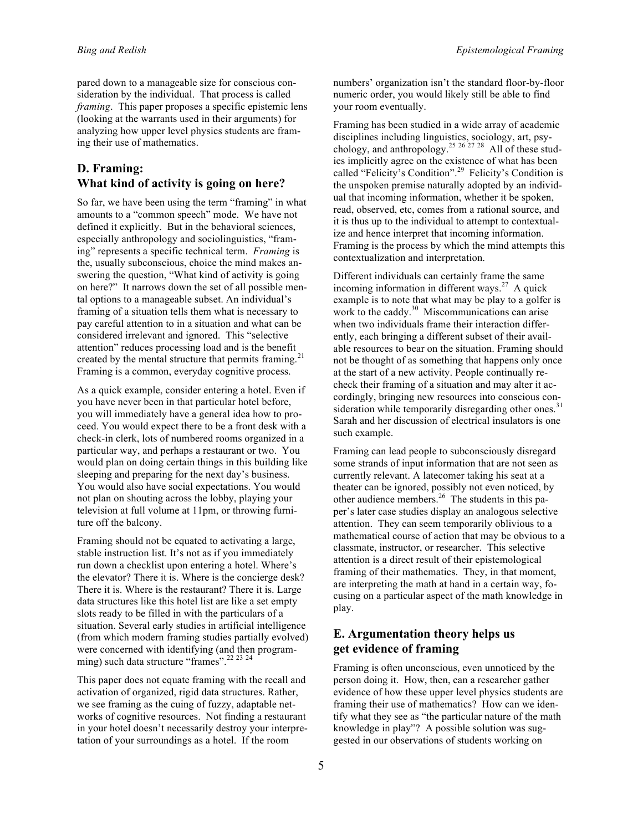pared down to a manageable size for conscious consideration by the individual. That process is called *framing*. This paper proposes a specific epistemic lens (looking at the warrants used in their arguments) for analyzing how upper level physics students are framing their use of mathematics.

## **D. Framing: What kind of activity is going on here?**

So far, we have been using the term "framing" in what amounts to a "common speech" mode. We have not defined it explicitly. But in the behavioral sciences, especially anthropology and sociolinguistics, "framing" represents a specific technical term. *Framing* is the, usually subconscious, choice the mind makes answering the question, "What kind of activity is going on here?" It narrows down the set of all possible mental options to a manageable subset. An individual's framing of a situation tells them what is necessary to pay careful attention to in a situation and what can be considered irrelevant and ignored. This "selective attention" reduces processing load and is the benefit created by the mental structure that permits framing.<sup>21</sup> Framing is a common, everyday cognitive process.

As a quick example, consider entering a hotel. Even if you have never been in that particular hotel before, you will immediately have a general idea how to proceed. You would expect there to be a front desk with a check-in clerk, lots of numbered rooms organized in a particular way, and perhaps a restaurant or two. You would plan on doing certain things in this building like sleeping and preparing for the next day's business. You would also have social expectations. You would not plan on shouting across the lobby, playing your television at full volume at 11pm, or throwing furniture off the balcony.

Framing should not be equated to activating a large, stable instruction list. It's not as if you immediately run down a checklist upon entering a hotel. Where's the elevator? There it is. Where is the concierge desk? There it is. Where is the restaurant? There it is. Large data structures like this hotel list are like a set empty slots ready to be filled in with the particulars of a situation. Several early studies in artificial intelligence (from which modern framing studies partially evolved) were concerned with identifying (and then programming) such data structure "frames".<sup>22 23 24</sup>

This paper does not equate framing with the recall and activation of organized, rigid data structures. Rather, we see framing as the cuing of fuzzy, adaptable networks of cognitive resources. Not finding a restaurant in your hotel doesn't necessarily destroy your interpretation of your surroundings as a hotel. If the room

numbers' organization isn't the standard floor-by-floor numeric order, you would likely still be able to find your room eventually.

Framing has been studied in a wide array of academic disciplines including linguistics, sociology, art, psychology, and anthropology.<sup>25 26 27 28</sup> All of these studies implicitly agree on the existence of what has been called "Felicity's Condition".<sup>29</sup> Felicity's Condition is the unspoken premise naturally adopted by an individual that incoming information, whether it be spoken, read, observed, etc, comes from a rational source, and it is thus up to the individual to attempt to contextualize and hence interpret that incoming information. Framing is the process by which the mind attempts this contextualization and interpretation.

Different individuals can certainly frame the same incoming information in different ways.<sup>27</sup> A quick example is to note that what may be play to a golfer is work to the caddy.<sup>30</sup> Miscommunications can arise when two individuals frame their interaction differently, each bringing a different subset of their available resources to bear on the situation. Framing should not be thought of as something that happens only once at the start of a new activity. People continually recheck their framing of a situation and may alter it accordingly, bringing new resources into conscious consideration while temporarily disregarding other ones. $31$ Sarah and her discussion of electrical insulators is one such example.

Framing can lead people to subconsciously disregard some strands of input information that are not seen as currently relevant. A latecomer taking his seat at a theater can be ignored, possibly not even noticed, by other audience members. $26$  The students in this paper's later case studies display an analogous selective attention. They can seem temporarily oblivious to a mathematical course of action that may be obvious to a classmate, instructor, or researcher. This selective attention is a direct result of their epistemological framing of their mathematics. They, in that moment, are interpreting the math at hand in a certain way, focusing on a particular aspect of the math knowledge in play.

## **E. Argumentation theory helps us get evidence of framing**

Framing is often unconscious, even unnoticed by the person doing it. How, then, can a researcher gather evidence of how these upper level physics students are framing their use of mathematics? How can we identify what they see as "the particular nature of the math knowledge in play"? A possible solution was suggested in our observations of students working on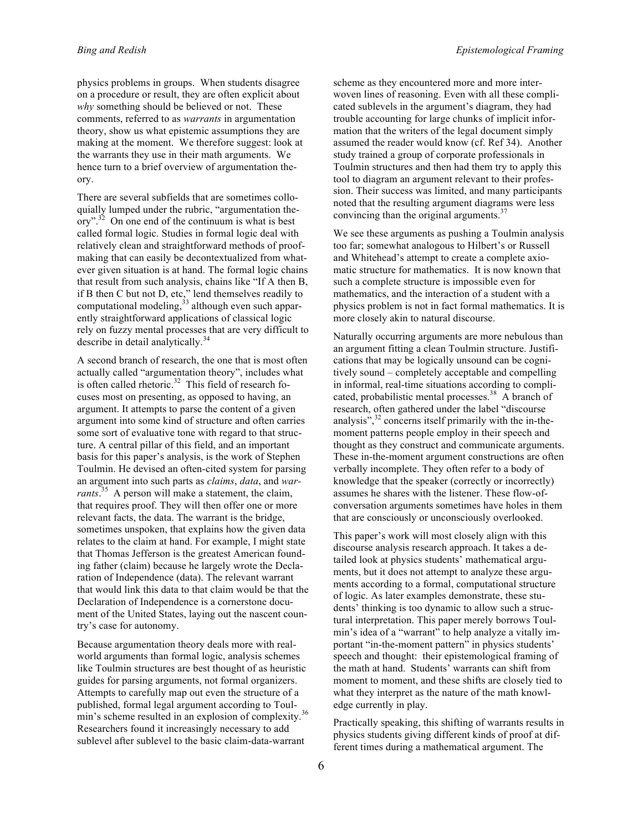physics problems in groups. When students disagree on a procedure or result, they are often explicit about *why* something should be believed or not. These comments, referred to as *warrants* in argumentation theory, show us what epistemic assumptions they are making at the moment. We therefore suggest: look at the warrants they use in their math arguments. We hence turn to a brief overview of argumentation theory.

There are several subfields that are sometimes colloquially lumped under the rubric, "argumentation theory".32 On one end of the continuum is what is best called formal logic. Studies in formal logic deal with relatively clean and straightforward methods of proofmaking that can easily be decontextualized from whatever given situation is at hand. The formal logic chains that result from such analysis, chains like "If A then B, if B then C but not D, etc," lend themselves readily to computational modeling,  $33$  although even such apparently straightforward applications of classical logic rely on fuzzy mental processes that are very difficult to describe in detail analytically.<sup>34</sup>

A second branch of research, the one that is most often actually called "argumentation theory", includes what is often called rhetoric. $32$  This field of research focuses most on presenting, as opposed to having, an argument. It attempts to parse the content of a given argument into some kind of structure and often carries some sort of evaluative tone with regard to that structure. A central pillar of this field, and an important basis for this paper's analysis, is the work of Stephen Toulmin. He devised an often-cited system for parsing an argument into such parts as *claims*, *data*, and *warrants*. 35 A person will make a statement, the claim, that requires proof. They will then offer one or more relevant facts, the data. The warrant is the bridge, sometimes unspoken, that explains how the given data relates to the claim at hand. For example, I might state that Thomas Jefferson is the greatest American founding father (claim) because he largely wrote the Declaration of Independence (data). The relevant warrant that would link this data to that claim would be that the Declaration of Independence is a cornerstone document of the United States, laying out the nascent country's case for autonomy.

Because argumentation theory deals more with realworld arguments than formal logic, analysis schemes like Toulmin structures are best thought of as heuristic guides for parsing arguments, not formal organizers. Attempts to carefully map out even the structure of a published, formal legal argument according to Toulmin's scheme resulted in an explosion of complexity.<sup>36</sup> Researchers found it increasingly necessary to add sublevel after sublevel to the basic claim-data-warrant

scheme as they encountered more and more interwoven lines of reasoning. Even with all these complicated sublevels in the argument's diagram, they had trouble accounting for large chunks of implicit information that the writers of the legal document simply assumed the reader would know (cf. Ref 34). Another study trained a group of corporate professionals in Toulmin structures and then had them try to apply this tool to diagram an argument relevant to their profession. Their success was limited, and many participants noted that the resulting argument diagrams were less convincing than the original arguments.<sup>37</sup>

We see these arguments as pushing a Toulmin analysis too far; somewhat analogous to Hilbert's or Russell and Whitehead's attempt to create a complete axiomatic structure for mathematics. It is now known that such a complete structure is impossible even for mathematics, and the interaction of a student with a physics problem is not in fact formal mathematics. It is more closely akin to natural discourse.

Naturally occurring arguments are more nebulous than an argument fitting a clean Toulmin structure. Justifications that may be logically unsound can be cognitively sound – completely acceptable and compelling in informal, real-time situations according to complicated, probabilistic mental processes.<sup>38</sup> A branch of research, often gathered under the label "discourse analysis",<sup>32</sup> concerns itself primarily with the in-themoment patterns people employ in their speech and thought as they construct and communicate arguments. These in-the-moment argument constructions are often verbally incomplete. They often refer to a body of knowledge that the speaker (correctly or incorrectly) assumes he shares with the listener. These flow-ofconversation arguments sometimes have holes in them that are consciously or unconsciously overlooked.

This paper's work will most closely align with this discourse analysis research approach. It takes a detailed look at physics students' mathematical arguments, but it does not attempt to analyze these arguments according to a formal, computational structure of logic. As later examples demonstrate, these students' thinking is too dynamic to allow such a structural interpretation. This paper merely borrows Toulmin's idea of a "warrant" to help analyze a vitally important "in-the-moment pattern" in physics students' speech and thought: their epistemological framing of the math at hand. Students' warrants can shift from moment to moment, and these shifts are closely tied to what they interpret as the nature of the math knowledge currently in play.

Practically speaking, this shifting of warrants results in physics students giving different kinds of proof at different times during a mathematical argument. The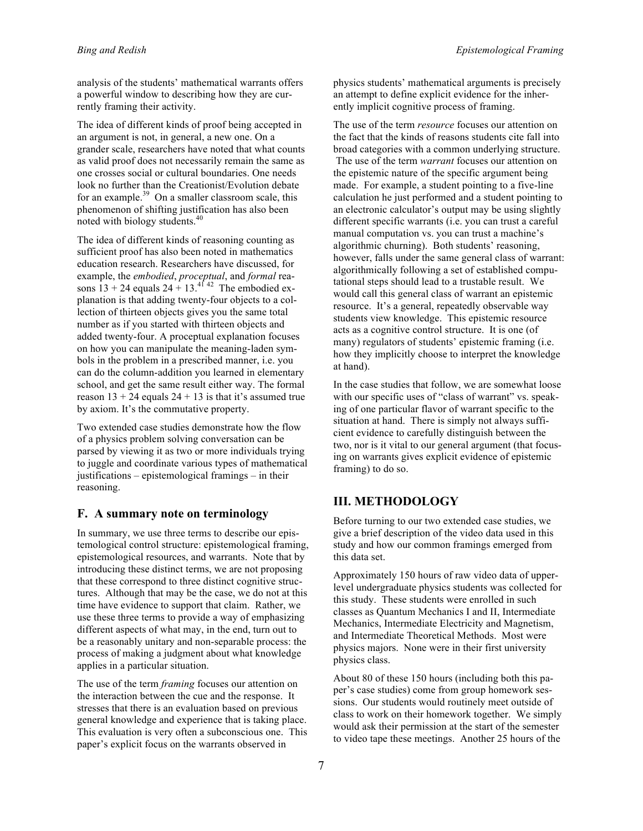analysis of the students' mathematical warrants offers a powerful window to describing how they are currently framing their activity.

The idea of different kinds of proof being accepted in an argument is not, in general, a new one. On a grander scale, researchers have noted that what counts as valid proof does not necessarily remain the same as one crosses social or cultural boundaries. One needs look no further than the Creationist/Evolution debate for an example. $39$  On a smaller classroom scale, this phenomenon of shifting justification has also been noted with biology students.<sup>40</sup>

The idea of different kinds of reasoning counting as sufficient proof has also been noted in mathematics education research. Researchers have discussed, for example, the *embodied*, *proceptual*, and *formal* reasons  $13 + 24$  equals  $24 + 13$ .<sup>41 42</sup> The embodied explanation is that adding twenty-four objects to a collection of thirteen objects gives you the same total number as if you started with thirteen objects and added twenty-four. A proceptual explanation focuses on how you can manipulate the meaning-laden symbols in the problem in a prescribed manner, i.e. you can do the column-addition you learned in elementary school, and get the same result either way. The formal reason  $13 + 24$  equals  $24 + 13$  is that it's assumed true by axiom. It's the commutative property.

Two extended case studies demonstrate how the flow of a physics problem solving conversation can be parsed by viewing it as two or more individuals trying to juggle and coordinate various types of mathematical justifications – epistemological framings – in their reasoning.

#### **F. A summary note on terminology**

In summary, we use three terms to describe our epistemological control structure: epistemological framing, epistemological resources, and warrants. Note that by introducing these distinct terms, we are not proposing that these correspond to three distinct cognitive structures. Although that may be the case, we do not at this time have evidence to support that claim. Rather, we use these three terms to provide a way of emphasizing different aspects of what may, in the end, turn out to be a reasonably unitary and non-separable process: the process of making a judgment about what knowledge applies in a particular situation.

The use of the term *framing* focuses our attention on the interaction between the cue and the response. It stresses that there is an evaluation based on previous general knowledge and experience that is taking place. This evaluation is very often a subconscious one. This paper's explicit focus on the warrants observed in

physics students' mathematical arguments is precisely an attempt to define explicit evidence for the inherently implicit cognitive process of framing.

The use of the term *resource* focuses our attention on the fact that the kinds of reasons students cite fall into broad categories with a common underlying structure. The use of the term *warrant* focuses our attention on the epistemic nature of the specific argument being made. For example, a student pointing to a five-line calculation he just performed and a student pointing to an electronic calculator's output may be using slightly different specific warrants (i.e. you can trust a careful manual computation vs. you can trust a machine's algorithmic churning). Both students' reasoning, however, falls under the same general class of warrant: algorithmically following a set of established computational steps should lead to a trustable result. We would call this general class of warrant an epistemic resource. It's a general, repeatedly observable way students view knowledge. This epistemic resource acts as a cognitive control structure. It is one (of many) regulators of students' epistemic framing (i.e. how they implicitly choose to interpret the knowledge at hand).

In the case studies that follow, we are somewhat loose with our specific uses of "class of warrant" vs. speaking of one particular flavor of warrant specific to the situation at hand. There is simply not always sufficient evidence to carefully distinguish between the two, nor is it vital to our general argument (that focusing on warrants gives explicit evidence of epistemic framing) to do so.

## **III. METHODOLOGY**

Before turning to our two extended case studies, we give a brief description of the video data used in this study and how our common framings emerged from this data set.

Approximately 150 hours of raw video data of upperlevel undergraduate physics students was collected for this study. These students were enrolled in such classes as Quantum Mechanics I and II, Intermediate Mechanics, Intermediate Electricity and Magnetism, and Intermediate Theoretical Methods. Most were physics majors. None were in their first university physics class.

About 80 of these 150 hours (including both this paper's case studies) come from group homework sessions. Our students would routinely meet outside of class to work on their homework together. We simply would ask their permission at the start of the semester to video tape these meetings. Another 25 hours of the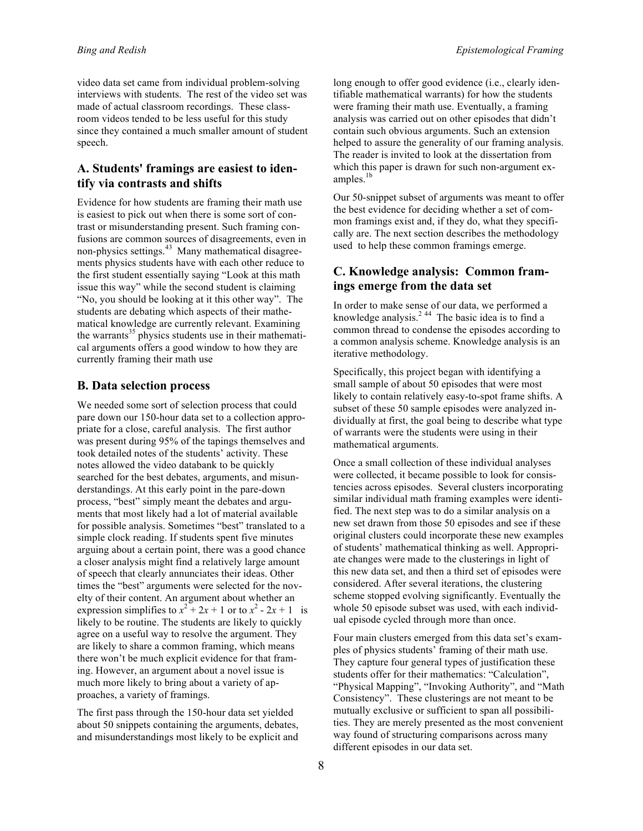video data set came from individual problem-solving interviews with students. The rest of the video set was made of actual classroom recordings. These classroom videos tended to be less useful for this study since they contained a much smaller amount of student speech.

## **A. Students' framings are easiest to identify via contrasts and shifts**

Evidence for how students are framing their math use is easiest to pick out when there is some sort of contrast or misunderstanding present. Such framing confusions are common sources of disagreements, even in non-physics settings.<sup>43</sup> Many mathematical disagreements physics students have with each other reduce to the first student essentially saying "Look at this math issue this way" while the second student is claiming "No, you should be looking at it this other way". The students are debating which aspects of their mathematical knowledge are currently relevant. Examining the warrants<sup>35</sup> physics students use in their mathematical arguments offers a good window to how they are currently framing their math use

#### **B. Data selection process**

We needed some sort of selection process that could pare down our 150-hour data set to a collection appropriate for a close, careful analysis. The first author was present during 95% of the tapings themselves and took detailed notes of the students' activity. These notes allowed the video databank to be quickly searched for the best debates, arguments, and misunderstandings. At this early point in the pare-down process, "best" simply meant the debates and arguments that most likely had a lot of material available for possible analysis. Sometimes "best" translated to a simple clock reading. If students spent five minutes arguing about a certain point, there was a good chance a closer analysis might find a relatively large amount of speech that clearly annunciates their ideas. Other times the "best" arguments were selected for the novelty of their content. An argument about whether an expression simplifies to  $x^2 + 2x + 1$  or to  $x^2 - 2x + 1$  is likely to be routine. The students are likely to quickly agree on a useful way to resolve the argument. They are likely to share a common framing, which means there won't be much explicit evidence for that framing. However, an argument about a novel issue is much more likely to bring about a variety of approaches, a variety of framings.

The first pass through the 150-hour data set yielded about 50 snippets containing the arguments, debates, and misunderstandings most likely to be explicit and

long enough to offer good evidence *(i.e., clearly iden*tifiable mathematical warrants) for how the students were framing their math use. Eventually, a framing analysis was carried out on other episodes that didn't contain such obvious arguments. Such an extension helped to assure the generality of our framing analysis. The reader is invited to look at the dissertation from which this paper is drawn for such non-argument examples.<sup>1b</sup>

Our 50-snippet subset of arguments was meant to offer the best evidence for deciding whether a set of common framings exist and, if they do, what they specifically are. The next section describes the methodology used to help these common framings emerge.

## **C. Knowledge analysis: Common framings emerge from the data set**

In order to make sense of our data, we performed a knowledge analysis.<sup>244</sup> The basic idea is to find a common thread to condense the episodes according to a common analysis scheme. Knowledge analysis is an iterative methodology.

Specifically, this project began with identifying a small sample of about 50 episodes that were most likely to contain relatively easy-to-spot frame shifts. A subset of these 50 sample episodes were analyzed individually at first, the goal being to describe what type of warrants were the students were using in their mathematical arguments.

Once a small collection of these individual analyses were collected, it became possible to look for consistencies across episodes. Several clusters incorporating similar individual math framing examples were identified. The next step was to do a similar analysis on a new set drawn from those 50 episodes and see if these original clusters could incorporate these new examples of students' mathematical thinking as well. Appropriate changes were made to the clusterings in light of this new data set, and then a third set of episodes were considered. After several iterations, the clustering scheme stopped evolving significantly. Eventually the whole 50 episode subset was used, with each individual episode cycled through more than once.

Four main clusters emerged from this data set's examples of physics students' framing of their math use. They capture four general types of justification these students offer for their mathematics: "Calculation", "Physical Mapping", "Invoking Authority", and "Math Consistency". These clusterings are not meant to be mutually exclusive or sufficient to span all possibilities. They are merely presented as the most convenient way found of structuring comparisons across many different episodes in our data set.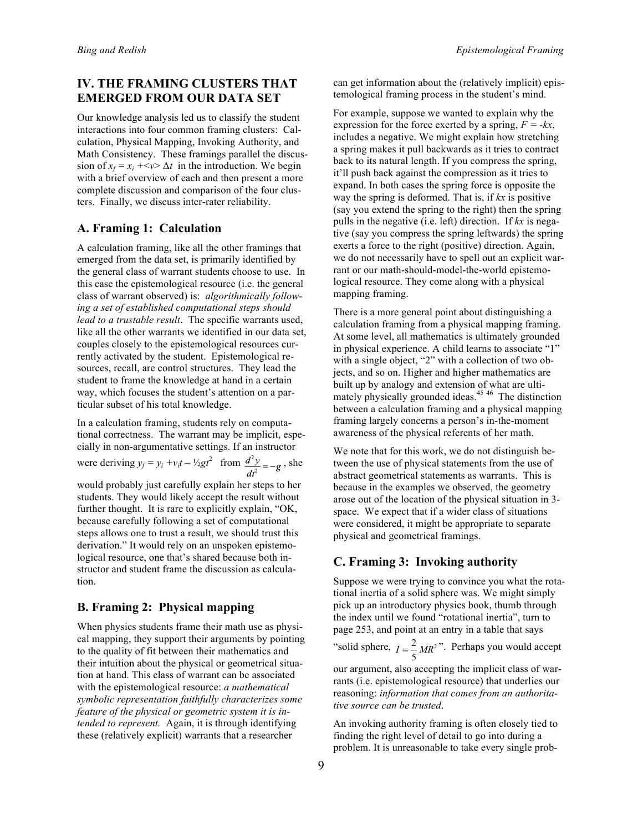## **IV. THE FRAMING CLUSTERS THAT EMERGED FROM OUR DATA SET**

Our knowledge analysis led us to classify the student interactions into four common framing clusters: Calculation, Physical Mapping, Invoking Authority, and Math Consistency. These framings parallel the discussion of  $x_f = x_i + \langle v \rangle \Delta t$  in the introduction. We begin with a brief overview of each and then present a more complete discussion and comparison of the four clusters. Finally, we discuss inter-rater reliability.

## **A. Framing 1: Calculation**

A calculation framing, like all the other framings that emerged from the data set, is primarily identified by the general class of warrant students choose to use. In this case the epistemological resource (i.e. the general class of warrant observed) is: *algorithmically following a set of established computational steps should lead to a trustable result*. The specific warrants used, like all the other warrants we identified in our data set, couples closely to the epistemological resources currently activated by the student. Epistemological resources, recall, are control structures. They lead the student to frame the knowledge at hand in a certain way, which focuses the student's attention on a particular subset of his total knowledge.

In a calculation framing, students rely on computational correctness. The warrant may be implicit, especially in non-argumentative settings. If an instructor were deriving  $y_f = y_i + v_i t - \frac{1}{2}gt^2$  from  $\frac{d^2y}{dt^2} = -g$ , she would probably just carefully explain her steps to her students. They would likely accept the result without further thought. It is rare to explicitly explain, "OK, because carefully following a set of computational steps allows one to trust a result, we should trust this derivation." It would rely on an unspoken epistemological resource, one that's shared because both instructor and student frame the discussion as calcula-

#### **B. Framing 2: Physical mapping**

tion.

When physics students frame their math use as physical mapping, they support their arguments by pointing to the quality of fit between their mathematics and their intuition about the physical or geometrical situation at hand. This class of warrant can be associated with the epistemological resource: *a mathematical symbolic representation faithfully characterizes some feature of the physical or geometric system it is intended to represent.* Again, it is through identifying these (relatively explicit) warrants that a researcher

can get information about the (relatively implicit) epistemological framing process in the student's mind.

For example, suppose we wanted to explain why the expression for the force exerted by a spring,  $F = -kx$ , includes a negative. We might explain how stretching a spring makes it pull backwards as it tries to contract back to its natural length. If you compress the spring, it'll push back against the compression as it tries to expand. In both cases the spring force is opposite the way the spring is deformed. That is, if *kx* is positive (say you extend the spring to the right) then the spring pulls in the negative (i.e. left) direction. If *kx* is negative (say you compress the spring leftwards) the spring exerts a force to the right (positive) direction. Again, we do not necessarily have to spell out an explicit warrant or our math-should-model-the-world epistemological resource. They come along with a physical mapping framing.

There is a more general point about distinguishing a calculation framing from a physical mapping framing. At some level, all mathematics is ultimately grounded in physical experience. A child learns to associate "1" with a single object, "2" with a collection of two objects, and so on. Higher and higher mathematics are built up by analogy and extension of what are ultimately physically grounded ideas.<sup>45,46</sup> The distinction between a calculation framing and a physical mapping framing largely concerns a person's in-the-moment awareness of the physical referents of her math.

We note that for this work, we do not distinguish between the use of physical statements from the use of abstract geometrical statements as warrants. This is because in the examples we observed, the geometry arose out of the location of the physical situation in 3 space. We expect that if a wider class of situations were considered, it might be appropriate to separate physical and geometrical framings.

#### **C. Framing 3: Invoking authority**

Suppose we were trying to convince you what the rotational inertia of a solid sphere was. We might simply pick up an introductory physics book, thumb through the index until we found "rotational inertia", turn to page 253, and point at an entry in a table that says

"solid sphere,  $I = \frac{2}{5}MR^2$ ". Perhaps you would accept

our argument, also accepting the implicit class of warrants (i.e. epistemological resource) that underlies our reasoning: *information that comes from an authoritative source can be trusted*.

An invoking authority framing is often closely tied to finding the right level of detail to go into during a problem. It is unreasonable to take every single prob-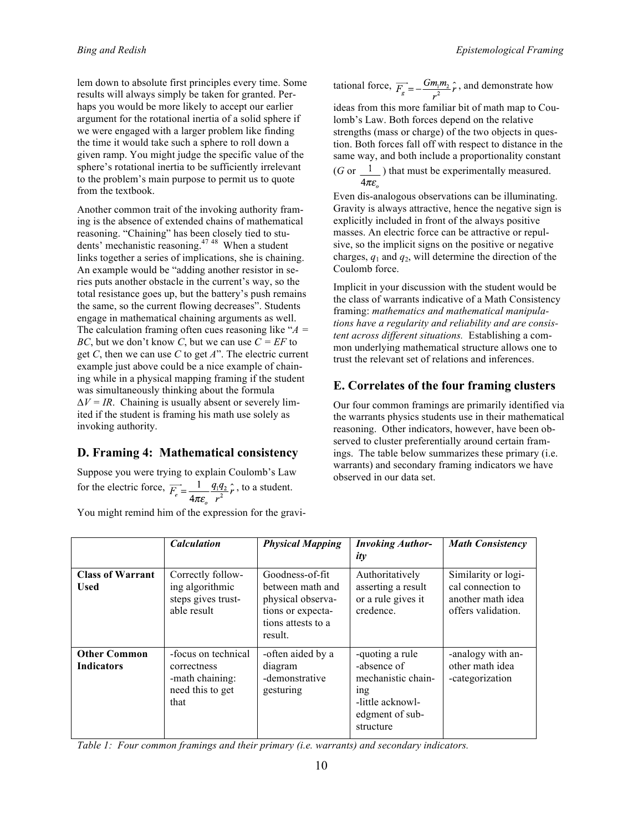lem down to absolute first principles every time. Some results will always simply be taken for granted. Perhaps you would be more likely to accept our earlier argument for the rotational inertia of a solid sphere if we were engaged with a larger problem like finding the time it would take such a sphere to roll down a given ramp. You might judge the specific value of the sphere's rotational inertia to be sufficiently irrelevant to the problem's main purpose to permit us to quote from the textbook.

Another common trait of the invoking authority framing is the absence of extended chains of mathematical reasoning. "Chaining" has been closely tied to students' mechanistic reasoning.<sup>47 48</sup> When a student links together a series of implications, she is chaining. An example would be "adding another resistor in series puts another obstacle in the current's way, so the total resistance goes up, but the battery's push remains the same, so the current flowing decreases". Students engage in mathematical chaining arguments as well. The calculation framing often cues reasoning like "*A = BC*, but we don't know *C*, but we can use *C = EF* to get *C*, then we can use *C* to get *A*". The electric current example just above could be a nice example of chaining while in a physical mapping framing if the student was simultaneously thinking about the formula  $\Delta V = IR$ . Chaining is usually absent or severely limited if the student is framing his math use solely as invoking authority.

## **D. Framing 4: Mathematical consistency**

Suppose you were trying to explain Coulomb's Law for the electric force,  $\overrightarrow{F_e} = \frac{1}{4\pi\varepsilon_o} \frac{q_1 q_2}{r^2} \hat{r}$ , to a student.

You might remind him of the expression for the gravi-

tational force,  $\overline{F_g} = -\frac{Gm_1m_2}{r^2}\hat{r}$ , and demonstrate how

ideas from this more familiar bit of math map to Coulomb's Law. Both forces depend on the relative strengths (mass or charge) of the two objects in question. Both forces fall off with respect to distance in the same way, and both include a proportionality constant (*G* or  $\frac{1}{\sqrt{2}}$ ) that must be experimentally measured.  $4\pi\varepsilon$ 

Even dis-analogous observations can be illuminating. Gravity is always attractive, hence the negative sign is explicitly included in front of the always positive masses. An electric force can be attractive or repulsive, so the implicit signs on the positive or negative charges,  $q_1$  and  $q_2$ , will determine the direction of the Coulomb force.

Implicit in your discussion with the student would be the class of warrants indicative of a Math Consistency framing: *mathematics and mathematical manipulations have a regularity and reliability and are consistent across different situations.* Establishing a common underlying mathematical structure allows one to trust the relevant set of relations and inferences.

## **E. Correlates of the four framing clusters**

Our four common framings are primarily identified via the warrants physics students use in their mathematical reasoning. Other indicators, however, have been observed to cluster preferentially around certain framings. The table below summarizes these primary (i.e. warrants) and secondary framing indicators we have observed in our data set.

|                                          | <b>Calculation</b>                                                                | <b>Physical Mapping</b>                                                                                        | <b>Invoking Author-</b><br>ity                                                                                     | <b>Math Consistency</b>                                                             |
|------------------------------------------|-----------------------------------------------------------------------------------|----------------------------------------------------------------------------------------------------------------|--------------------------------------------------------------------------------------------------------------------|-------------------------------------------------------------------------------------|
| <b>Class of Warrant</b><br>Used          | Correctly follow-<br>ing algorithmic<br>steps gives trust-<br>able result         | Goodness-of-fit<br>between math and<br>physical observa-<br>tions or expecta-<br>tions attests to a<br>result. | Authoritatively<br>asserting a result<br>or a rule gives it<br>credence.                                           | Similarity or logi-<br>cal connection to<br>another math idea<br>offers validation. |
| <b>Other Common</b><br><b>Indicators</b> | -focus on technical<br>correctness<br>-math chaining:<br>need this to get<br>that | -often aided by a<br>diagram<br>-demonstrative<br>gesturing                                                    | -quoting a rule<br>-absence of<br>mechanistic chain-<br>$1n$ g<br>-little acknowl-<br>edgment of sub-<br>structure | -analogy with an-<br>other math idea<br>-categorization                             |

*Table 1: Four common framings and their primary (i.e. warrants) and secondary indicators.*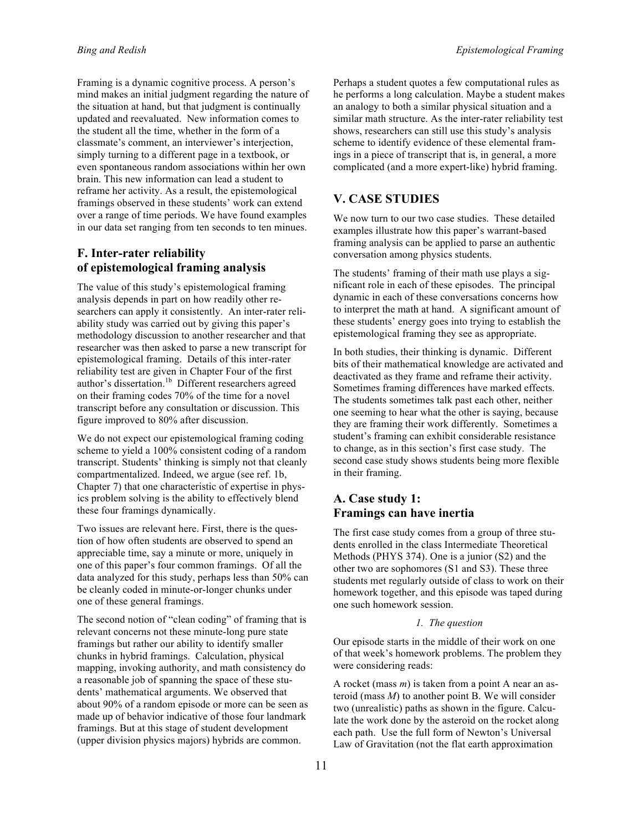Framing is a dynamic cognitive process. A person's mind makes an initial judgment regarding the nature of the situation at hand, but that judgment is continually updated and reevaluated. New information comes to the student all the time, whether in the form of a classmate's comment, an interviewer's interjection, simply turning to a different page in a textbook, or even spontaneous random associations within her own brain. This new information can lead a student to reframe her activity. As a result, the epistemological framings observed in these students' work can extend over a range of time periods. We have found examples in our data set ranging from ten seconds to ten minues.

## **F. Inter-rater reliability of epistemological framing analysis**

The value of this study's epistemological framing analysis depends in part on how readily other researchers can apply it consistently. An inter-rater reliability study was carried out by giving this paper's methodology discussion to another researcher and that researcher was then asked to parse a new transcript for epistemological framing. Details of this inter-rater reliability test are given in Chapter Four of the first author's dissertation.<sup>1b</sup> Different researchers agreed on their framing codes 70% of the time for a novel transcript before any consultation or discussion. This figure improved to 80% after discussion.

We do not expect our epistemological framing coding scheme to yield a 100% consistent coding of a random transcript. Students' thinking is simply not that cleanly compartmentalized. Indeed, we argue (see ref. 1b, Chapter 7) that one characteristic of expertise in physics problem solving is the ability to effectively blend these four framings dynamically.

Two issues are relevant here. First, there is the question of how often students are observed to spend an appreciable time, say a minute or more, uniquely in one of this paper's four common framings. Of all the data analyzed for this study, perhaps less than 50% can be cleanly coded in minute-or-longer chunks under one of these general framings.

The second notion of "clean coding" of framing that is relevant concerns not these minute-long pure state framings but rather our ability to identify smaller chunks in hybrid framings. Calculation, physical mapping, invoking authority, and math consistency do a reasonable job of spanning the space of these students' mathematical arguments. We observed that about 90% of a random episode or more can be seen as made up of behavior indicative of those four landmark framings. But at this stage of student development (upper division physics majors) hybrids are common.

Perhaps a student quotes a few computational rules as he performs a long calculation. Maybe a student makes an analogy to both a similar physical situation and a similar math structure. As the inter-rater reliability test shows, researchers can still use this study's analysis scheme to identify evidence of these elemental framings in a piece of transcript that is, in general, a more complicated (and a more expert-like) hybrid framing.

#### **V. CASE STUDIES**

We now turn to our two case studies. These detailed examples illustrate how this paper's warrant-based framing analysis can be applied to parse an authentic conversation among physics students.

The students' framing of their math use plays a significant role in each of these episodes. The principal dynamic in each of these conversations concerns how to interpret the math at hand. A significant amount of these students' energy goes into trying to establish the epistemological framing they see as appropriate.

In both studies, their thinking is dynamic. Different bits of their mathematical knowledge are activated and deactivated as they frame and reframe their activity. Sometimes framing differences have marked effects. The students sometimes talk past each other, neither one seeming to hear what the other is saying, because they are framing their work differently. Sometimes a student's framing can exhibit considerable resistance to change, as in this section's first case study. The second case study shows students being more flexible in their framing.

## **A. Case study 1: Framings can have inertia**

The first case study comes from a group of three students enrolled in the class Intermediate Theoretical Methods (PHYS 374). One is a junior (S2) and the other two are sophomores (S1 and S3). These three students met regularly outside of class to work on their homework together, and this episode was taped during one such homework session.

#### *1. The question*

Our episode starts in the middle of their work on one of that week's homework problems. The problem they were considering reads:

A rocket (mass *m*) is taken from a point A near an asteroid (mass *M*) to another point B. We will consider two (unrealistic) paths as shown in the figure. Calculate the work done by the asteroid on the rocket along each path. Use the full form of Newton's Universal Law of Gravitation (not the flat earth approximation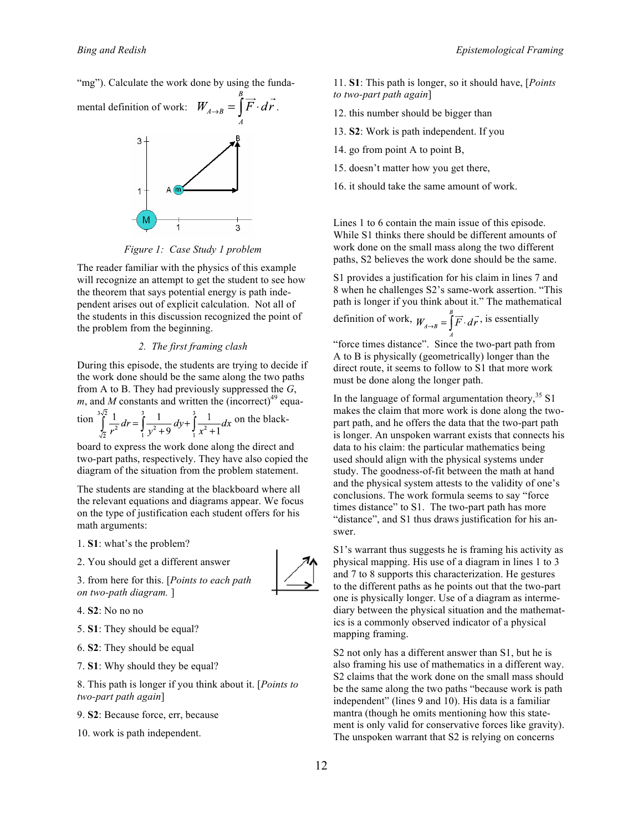"mg"). Calculate the work done by using the funda-



*Figure 1: Case Study 1 problem*

The reader familiar with the physics of this example will recognize an attempt to get the student to see how the theorem that says potential energy is path independent arises out of explicit calculation. Not all of the students in this discussion recognized the point of the problem from the beginning.

#### *2. The first framing clash*

During this episode, the students are trying to decide if the work done should be the same along the two paths from A to B. They had previously suppressed the *G*,  $m$ , and *M* constants and written the (incorrect)<sup>49</sup> equa-

tion  $\int_{\frac{L}{6}}^{\frac{3\sqrt{2}}{2}} \frac{1}{r^2} dr = \int_{\frac{L}{2}}^{\frac{3}{2}} \frac{1}{\frac{v^2}{2}+9} dy + \int_{\frac{L}{2}}^{\frac{3}{2}} \frac{1}{x^2+1} dx$  on the black-

board to express the work done along the direct and two-part paths, respectively. They have also copied the diagram of the situation from the problem statement.

The students are standing at the blackboard where all the relevant equations and diagrams appear. We focus on the type of justification each student offers for his math arguments:

- 1. **S1**: what's the problem?
- 2. You should get a different answer

3. from here for this. [*Points to each path on two-path diagram.* ]

4. **S2**: No no no

5. **S1**: They should be equal?

6. **S2**: They should be equal

7. **S1**: Why should they be equal?

8. This path is longer if you think about it. [*Points to two-part path again*]

9. **S2**: Because force, err, because

10. work is path independent.

- 11. **S1**: This path is longer, so it should have, [*Points to two-part path again*]
- 12. this number should be bigger than
- 13. **S2**: Work is path independent. If you
- 14. go from point A to point B,
- 15. doesn't matter how you get there,
- 16. it should take the same amount of work.

Lines 1 to 6 contain the main issue of this episode. While S1 thinks there should be different amounts of work done on the small mass along the two different paths, S2 believes the work done should be the same.

S1 provides a justification for his claim in lines 7 and 8 when he challenges S2's same-work assertion. "This path is longer if you think about it." The mathematical

definition of work,  $W_{A\rightarrow B} = \int \overline{F} \cdot d\overline{r}$ , is essentially

"force times distance". Since the two-part path from A to B is physically (geometrically) longer than the direct route, it seems to follow to S1 that more work must be done along the longer path.

In the language of formal argumentation theory,  $35$  S1 makes the claim that more work is done along the twopart path, and he offers the data that the two-part path is longer. An unspoken warrant exists that connects his data to his claim: the particular mathematics being used should align with the physical systems under study. The goodness-of-fit between the math at hand and the physical system attests to the validity of one's conclusions. The work formula seems to say "force times distance" to S1. The two-part path has more "distance", and S1 thus draws justification for his answer.

S1's warrant thus suggests he is framing his activity as physical mapping. His use of a diagram in lines 1 to 3 and 7 to 8 supports this characterization. He gestures to the different paths as he points out that the two-part one is physically longer. Use of a diagram as intermediary between the physical situation and the mathematics is a commonly observed indicator of a physical mapping framing.

S2 not only has a different answer than S1, but he is also framing his use of mathematics in a different way. S2 claims that the work done on the small mass should be the same along the two paths "because work is path independent" (lines 9 and 10). His data is a familiar mantra (though he omits mentioning how this statement is only valid for conservative forces like gravity). The unspoken warrant that S2 is relying on concerns

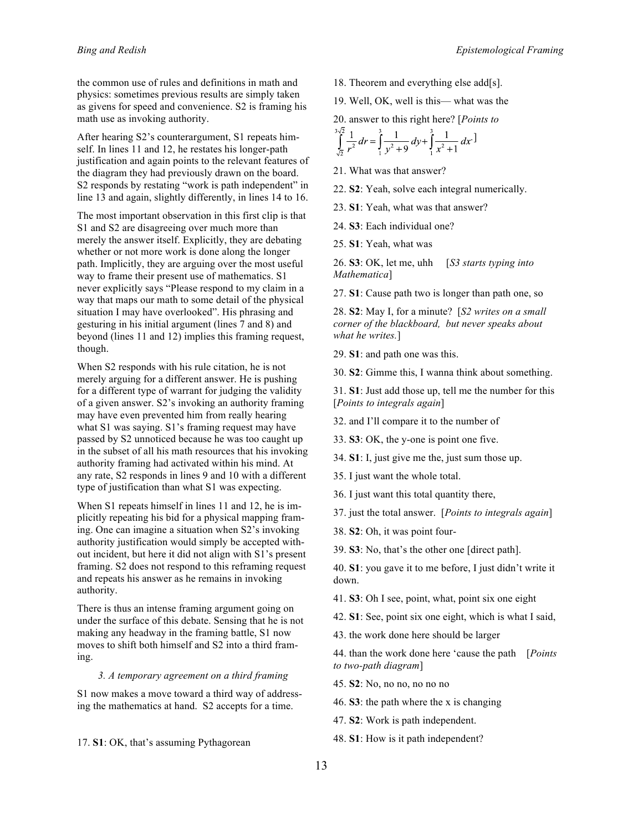the common use of rules and definitions in math and physics: sometimes previous results are simply taken as givens for speed and convenience. S2 is framing his math use as invoking authority.

After hearing S2's counterargument, S1 repeats himself. In lines 11 and 12, he restates his longer-path justification and again points to the relevant features of the diagram they had previously drawn on the board. S2 responds by restating "work is path independent" in line 13 and again, slightly differently, in lines 14 to 16.

The most important observation in this first clip is that S1 and S2 are disagreeing over much more than merely the answer itself. Explicitly, they are debating whether or not more work is done along the longer path. Implicitly, they are arguing over the most useful way to frame their present use of mathematics. S1 never explicitly says "Please respond to my claim in a way that maps our math to some detail of the physical situation I may have overlooked". His phrasing and gesturing in his initial argument (lines 7 and 8) and beyond (lines 11 and 12) implies this framing request, though.

When S2 responds with his rule citation, he is not merely arguing for a different answer. He is pushing for a different type of warrant for judging the validity of a given answer. S2's invoking an authority framing may have even prevented him from really hearing what S1 was saying. S1's framing request may have passed by S2 unnoticed because he was too caught up in the subset of all his math resources that his invoking authority framing had activated within his mind. At any rate, S2 responds in lines 9 and 10 with a different type of justification than what S1 was expecting.

When S1 repeats himself in lines 11 and 12, he is implicitly repeating his bid for a physical mapping framing. One can imagine a situation when S2's invoking authority justification would simply be accepted without incident, but here it did not align with S1's present framing. S2 does not respond to this reframing request and repeats his answer as he remains in invoking authority.

There is thus an intense framing argument going on under the surface of this debate. Sensing that he is not making any headway in the framing battle, S1 now moves to shift both himself and S2 into a third framing.

#### *3. A temporary agreement on a third framing*

S1 now makes a move toward a third way of addressing the mathematics at hand. S2 accepts for a time.

17. **S1**: OK, that's assuming Pythagorean

- 18. Theorem and everything else add[s].
- 19. Well, OK, well is this— what was the
- 20. answer to this right here? [*Points to*

$$
\int_{\sqrt{2}}^{3\sqrt{2}} \frac{1}{r^2} dr = \int_{1}^{3} \frac{1}{y^2 + 9} dy + \int_{1}^{3} \frac{1}{x^2 + 1} dx
$$

- 21. What was that answer?
- 22. **S2**: Yeah, solve each integral numerically.

23. **S1**: Yeah, what was that answer?

24. **S3**: Each individual one?

25. **S1**: Yeah, what was

26. **S3**: OK, let me, uhh [*S3 starts typing into Mathematica*]

27. **S1**: Cause path two is longer than path one, so

28. **S2**: May I, for a minute? [*S2 writes on a small corner of the blackboard, but never speaks about what he writes.*]

29. **S1**: and path one was this.

30. **S2**: Gimme this, I wanna think about something.

31. **S1**: Just add those up, tell me the number for this [*Points to integrals again*]

32. and I'll compare it to the number of

33. **S3**: OK, the y-one is point one five.

34. **S1**: I, just give me the, just sum those up.

35. I just want the whole total.

36. I just want this total quantity there,

37. just the total answer. [*Points to integrals again*]

38. **S2**: Oh, it was point four-

39. **S3**: No, that's the other one [direct path].

40. **S1**: you gave it to me before, I just didn't write it down.

41. **S3**: Oh I see, point, what, point six one eight

42. **S1**: See, point six one eight, which is what I said,

43. the work done here should be larger

44. than the work done here 'cause the path [*Points to two-path diagram*]

45. **S2**: No, no no, no no no

46. **S3**: the path where the x is changing

47. **S2**: Work is path independent.

48. **S1**: How is it path independent?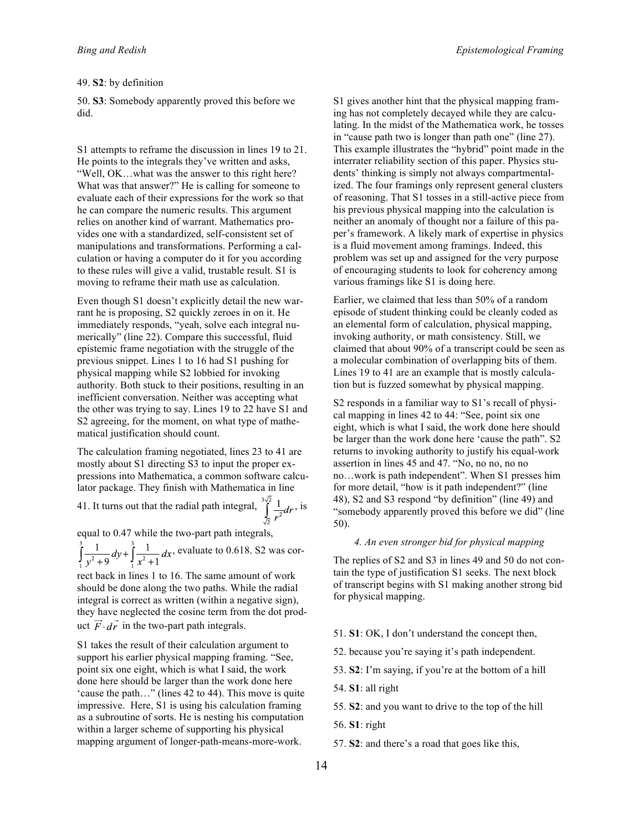#### 49. **S2**: by definition

50. **S3**: Somebody apparently proved this before we did.

S1 attempts to reframe the discussion in lines 19 to 21. He points to the integrals they've written and asks, "Well, OK…what was the answer to this right here? What was that answer?" He is calling for someone to evaluate each of their expressions for the work so that he can compare the numeric results. This argument relies on another kind of warrant. Mathematics provides one with a standardized, self-consistent set of manipulations and transformations. Performing a calculation or having a computer do it for you according to these rules will give a valid, trustable result. S1 is moving to reframe their math use as calculation.

Even though S1 doesn't explicitly detail the new warrant he is proposing, S2 quickly zeroes in on it. He immediately responds, "yeah, solve each integral numerically" (line 22). Compare this successful, fluid epistemic frame negotiation with the struggle of the previous snippet. Lines 1 to 16 had S1 pushing for physical mapping while S2 lobbied for invoking authority. Both stuck to their positions, resulting in an inefficient conversation. Neither was accepting what the other was trying to say. Lines 19 to 22 have S1 and S2 agreeing, for the moment, on what type of mathematical justification should count.

The calculation framing negotiated, lines 23 to 41 are mostly about S1 directing S3 to input the proper expressions into Mathematica, a common software calculator package. They finish with Mathematica in line

# 41. It turns out that the radial path integral,  $\int_{-r}^{3\sqrt{2}} \frac{1}{r^2} dr$ , is

equal to 0.47 while the two-part path integrals,

 $\int_{1}^{3} \frac{1}{y^2+9} dy + \int_{1}^{3} \frac{1}{x^2+1} dx$ , evaluate to 0.618. S2 was cor-

rect back in lines 1 to 16. The same amount of work should be done along the two paths. While the radial integral is correct as written (within a negative sign), they have neglected the cosine term from the dot product  $\vec{F} \cdot d\vec{r}$  in the two-part path integrals.

S1 takes the result of their calculation argument to support his earlier physical mapping framing. "See, point six one eight, which is what I said, the work done here should be larger than the work done here 'cause the path…" (lines 42 to 44). This move is quite impressive. Here, S1 is using his calculation framing as a subroutine of sorts. He is nesting his computation within a larger scheme of supporting his physical mapping argument of longer-path-means-more-work.

S1 gives another hint that the physical mapping framing has not completely decayed while they are calculating. In the midst of the Mathematica work, he tosses in "cause path two is longer than path one" (line 27). This example illustrates the "hybrid" point made in the interrater reliability section of this paper. Physics students' thinking is simply not always compartmentalized. The four framings only represent general clusters of reasoning. That S1 tosses in a still-active piece from his previous physical mapping into the calculation is neither an anomaly of thought nor a failure of this paper's framework. A likely mark of expertise in physics is a fluid movement among framings. Indeed, this problem was set up and assigned for the very purpose of encouraging students to look for coherency among various framings like S1 is doing here.

Earlier, we claimed that less than 50% of a random episode of student thinking could be cleanly coded as an elemental form of calculation, physical mapping, invoking authority, or math consistency. Still, we claimed that about 90% of a transcript could be seen as a molecular combination of overlapping bits of them. Lines 19 to 41 are an example that is mostly calculation but is fuzzed somewhat by physical mapping.

S2 responds in a familiar way to S1's recall of physical mapping in lines 42 to 44: "See, point six one eight, which is what I said, the work done here should be larger than the work done here 'cause the path". S2 returns to invoking authority to justify his equal-work assertion in lines 45 and 47. "No, no no, no no no…work is path independent". When S1 presses him for more detail, "how is it path independent?" (line 48), S2 and S3 respond "by definition" (line 49) and "somebody apparently proved this before we did" (line 50).

#### *4. An even stronger bid for physical mapping*

The replies of S2 and S3 in lines 49 and 50 do not contain the type of justification S1 seeks. The next block of transcript begins with S1 making another strong bid for physical mapping.

- 51. **S1**: OK, I don't understand the concept then,
- 52. because you're saying it's path independent.
- 53. **S2**: I'm saying, if you're at the bottom of a hill
- 54. **S1**: all right
- 55. **S2**: and you want to drive to the top of the hill
- 56. **S1**: right
- 57. **S2**: and there's a road that goes like this,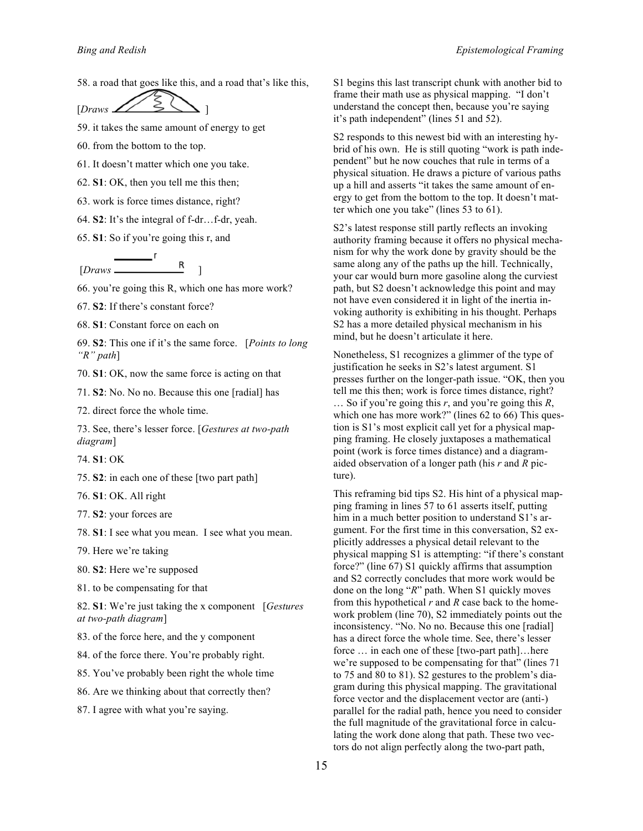58. a road that goes like this, and a road that's like this,

 $[Draws \n\blacktriangle$ 

59. it takes the same amount of energy to get

60. from the bottom to the top.

61. It doesn't matter which one you take.

62. **S1**: OK, then you tell me this then;

63. work is force times distance, right?

64. **S2**: It's the integral of f-dr…f-dr, yeah.

65. **S1**: So if you're going this r, and

 $[Draws \t\t R \t\t 1]$ 

66. you're going this R, which one has more work?

67. **S2**: If there's constant force?

68. **S1**: Constant force on each on

69. **S2**: This one if it's the same force. [*Points to long "R" path*]

70. **S1**: OK, now the same force is acting on that

71. **S2**: No. No no. Because this one [radial] has

72. direct force the whole time.

73. See, there's lesser force. [*Gestures at two-path diagram*]

74. **S1**: OK

75. **S2**: in each one of these [two part path]

76. **S1**: OK. All right

77. **S2**: your forces are

78. **S1**: I see what you mean. I see what you mean.

79. Here we're taking

80. **S2**: Here we're supposed

81. to be compensating for that

82. **S1**: We're just taking the x component [*Gestures at two-path diagram*]

83. of the force here, and the y component

84. of the force there. You're probably right.

85. You've probably been right the whole time

86. Are we thinking about that correctly then?

87. I agree with what you're saying.

S1 begins this last transcript chunk with another bid to frame their math use as physical mapping. "I don't understand the concept then, because you're saying it's path independent" (lines 51 and 52).

S2 responds to this newest bid with an interesting hybrid of his own. He is still quoting "work is path independent" but he now couches that rule in terms of a physical situation. He draws a picture of various paths up a hill and asserts "it takes the same amount of energy to get from the bottom to the top. It doesn't matter which one you take" (lines 53 to 61).

S2's latest response still partly reflects an invoking authority framing because it offers no physical mechanism for why the work done by gravity should be the same along any of the paths up the hill. Technically, your car would burn more gasoline along the curviest path, but S2 doesn't acknowledge this point and may not have even considered it in light of the inertia invoking authority is exhibiting in his thought. Perhaps S2 has a more detailed physical mechanism in his mind, but he doesn't articulate it here.

Nonetheless, S1 recognizes a glimmer of the type of justification he seeks in S2's latest argument. S1 presses further on the longer-path issue. "OK, then you tell me this then; work is force times distance, right? … So if you're going this *r*, and you're going this *R*, which one has more work?" (lines 62 to 66) This question is S1's most explicit call yet for a physical mapping framing. He closely juxtaposes a mathematical point (work is force times distance) and a diagramaided observation of a longer path (his *r* and *R* picture).

This reframing bid tips S2. His hint of a physical mapping framing in lines 57 to 61 asserts itself, putting him in a much better position to understand S1's argument. For the first time in this conversation, S2 explicitly addresses a physical detail relevant to the physical mapping S1 is attempting: "if there's constant force?" (line 67) S1 quickly affirms that assumption and S2 correctly concludes that more work would be done on the long "*R*" path. When S1 quickly moves from this hypothetical *r* and *R* case back to the homework problem (line 70), S2 immediately points out the inconsistency. "No. No no. Because this one [radial] has a direct force the whole time. See, there's lesser force ... in each one of these [two-part path]...here we're supposed to be compensating for that" (lines 71 to 75 and 80 to 81). S2 gestures to the problem's diagram during this physical mapping. The gravitational force vector and the displacement vector are (anti-) parallel for the radial path, hence you need to consider the full magnitude of the gravitational force in calculating the work done along that path. These two vectors do not align perfectly along the two-part path,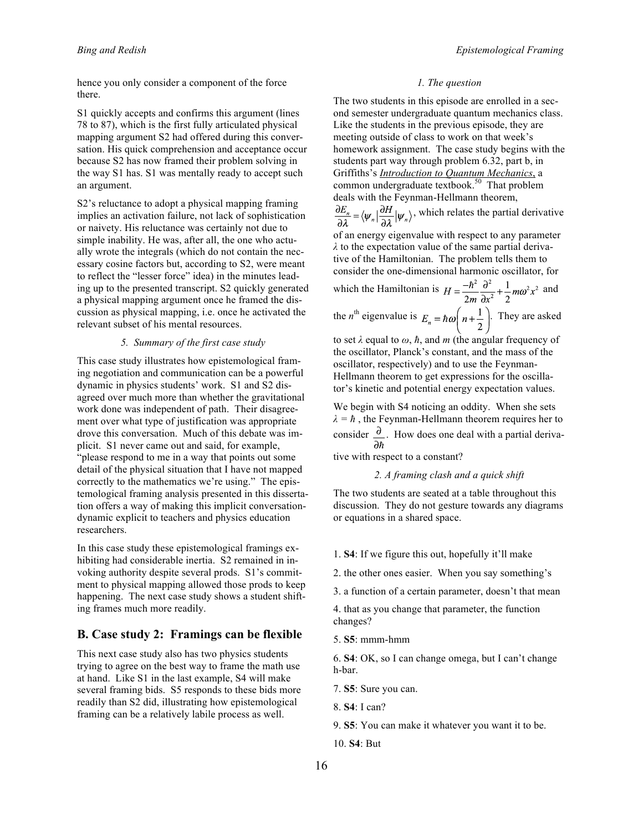hence you only consider a component of the force there.

S1 quickly accepts and confirms this argument (lines 78 to 87), which is the first fully articulated physical mapping argument S2 had offered during this conversation. His quick comprehension and acceptance occur because S2 has now framed their problem solving in the way S1 has. S1 was mentally ready to accept such an argument.

S2's reluctance to adopt a physical mapping framing implies an activation failure, not lack of sophistication or naivety. His reluctance was certainly not due to simple inability. He was, after all, the one who actually wrote the integrals (which do not contain the necessary cosine factors but, according to S2, were meant to reflect the "lesser force" idea) in the minutes leading up to the presented transcript. S2 quickly generated a physical mapping argument once he framed the discussion as physical mapping, i.e. once he activated the relevant subset of his mental resources.

#### *5. Summary of the first case study*

This case study illustrates how epistemological framing negotiation and communication can be a powerful dynamic in physics students' work. S1 and S2 disagreed over much more than whether the gravitational work done was independent of path. Their disagreement over what type of justification was appropriate drove this conversation. Much of this debate was implicit. S1 never came out and said, for example, "please respond to me in a way that points out some detail of the physical situation that I have not mapped correctly to the mathematics we're using." The epistemological framing analysis presented in this dissertation offers a way of making this implicit conversationdynamic explicit to teachers and physics education researchers.

In this case study these epistemological framings exhibiting had considerable inertia. S2 remained in invoking authority despite several prods. S1's commitment to physical mapping allowed those prods to keep happening. The next case study shows a student shifting frames much more readily.

#### **B. Case study 2: Framings can be flexible**

This next case study also has two physics students trying to agree on the best way to frame the math use at hand. Like S1 in the last example, S4 will make several framing bids. S5 responds to these bids more readily than S2 did, illustrating how epistemological framing can be a relatively labile process as well.

#### *1. The question*

The two students in this episode are enrolled in a second semester undergraduate quantum mechanics class. Like the students in the previous episode, they are meeting outside of class to work on that week's homework assignment. The case study begins with the students part way through problem 6.32, part b, in Griffiths's *Introduction to Quantum Mechanics*, a common undergraduate textbook.<sup>50</sup> That problem deals with the Feynman-Hellmann theorem,

 $\frac{\partial E_n}{\partial \lambda} = \langle \psi_n | \frac{\partial H}{\partial \lambda} | \psi_n \rangle$ , which relates the partial derivative

of an energy eigenvalue with respect to any parameter *λ* to the expectation value of the same partial derivative of the Hamiltonian. The problem tells them to consider the one-dimensional harmonic oscillator, for which the Hamiltonian is  $H = \frac{-\hbar^2}{2m} \frac{\partial^2}{\partial x^2} + \frac{1}{2} m \omega^2 x^2$  and

the *n*<sup>th</sup> eigenvalue is 
$$
E_n = \hbar \omega \left( n + \frac{1}{2} \right)
$$
. They are asked

to set *λ* equal to *ω*, *ħ*, and *m* (the angular frequency of the oscillator, Planck's constant, and the mass of the oscillator, respectively) and to use the Feynman-Hellmann theorem to get expressions for the oscillator's kinetic and potential energy expectation values.

We begin with S4 noticing an oddity. When she sets  $\lambda = \hbar$ , the Feynman-Hellmann theorem requires her to consider  $\frac{\partial}{\partial h}$ . How does one deal with a partial deriva-

tive with respect to a constant?

*2. A framing clash and a quick shift*

The two students are seated at a table throughout this discussion. They do not gesture towards any diagrams or equations in a shared space.

1. **S4**: If we figure this out, hopefully it'll make

2. the other ones easier. When you say something's

3. a function of a certain parameter, doesn't that mean

4. that as you change that parameter, the function changes?

5. **S5**: mmm-hmm

6. **S4**: OK, so I can change omega, but I can't change h-bar.

7. **S5**: Sure you can.

8. **S4**: I can?

9. **S5**: You can make it whatever you want it to be.

10. **S4**: But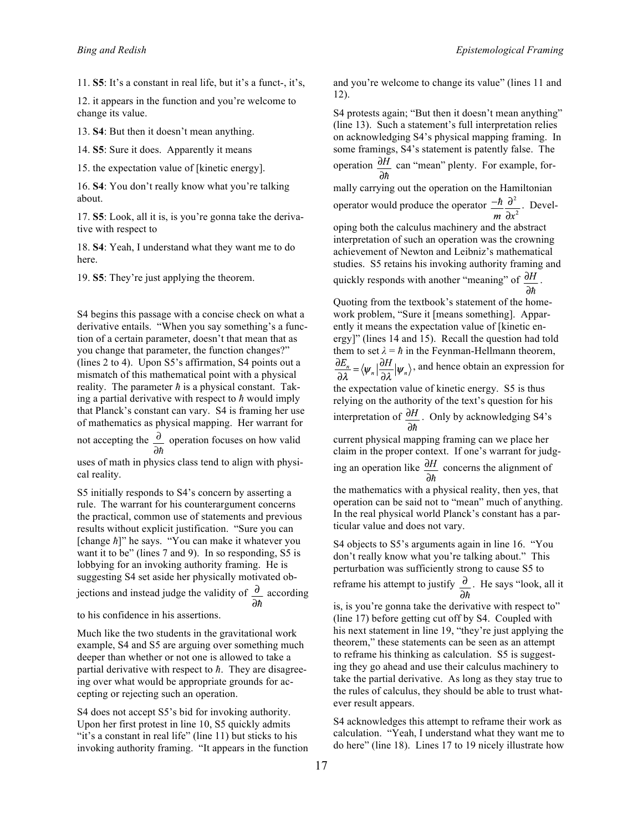11. **S5**: It's a constant in real life, but it's a funct-, it's,

12. it appears in the function and you're welcome to change its value.

13. **S4**: But then it doesn't mean anything.

14. **S5**: Sure it does. Apparently it means

15. the expectation value of [kinetic energy].

16. **S4**: You don't really know what you're talking about.

17. **S5**: Look, all it is, is you're gonna take the derivative with respect to

18. **S4**: Yeah, I understand what they want me to do here.

19. **S5**: They're just applying the theorem.

S4 begins this passage with a concise check on what a derivative entails. "When you say something's a function of a certain parameter, doesn't that mean that as you change that parameter, the function changes?" (lines 2 to 4). Upon S5's affirmation, S4 points out a mismatch of this mathematical point with a physical reality. The parameter *ħ* is a physical constant. Taking a partial derivative with respect to *ħ* would imply that Planck's constant can vary. S4 is framing her use of mathematics as physical mapping. Her warrant for

not accepting the  $\frac{\partial}{\partial x}$  $\partial \hbar$ operation focuses on how valid

uses of math in physics class tend to align with physical reality.

S5 initially responds to S4's concern by asserting a rule. The warrant for his counterargument concerns the practical, common use of statements and previous results without explicit justification. "Sure you can [change *ħ*]" he says. "You can make it whatever you want it to be" (lines 7 and 9). In so responding, S5 is lobbying for an invoking authority framing. He is suggesting S4 set aside her physically motivated objections and instead judge the validity of  $\frac{\partial}{\partial \hbar}$  according

to his confidence in his assertions.

Much like the two students in the gravitational work example, S4 and S5 are arguing over something much deeper than whether or not one is allowed to take a partial derivative with respect to *ħ*. They are disagreeing over what would be appropriate grounds for accepting or rejecting such an operation.

S4 does not accept S5's bid for invoking authority. Upon her first protest in line 10, S5 quickly admits "it's a constant in real life" (line 11) but sticks to his invoking authority framing. "It appears in the function and you're welcome to change its value" (lines 11 and 12).

S4 protests again; "But then it doesn't mean anything" (line 13). Such a statement's full interpretation relies on acknowledging S4's physical mapping framing. In some framings, S4's statement is patently false. The

operation  $\frac{\partial H}{\partial \hbar}$  can "mean" plenty. For example, for-

mally carrying out the operation on the Hamiltonian operator would produce the operator  $\frac{-\hbar}{m} \frac{\partial^2}{\partial x^2}$ . Devel-

oping both the calculus machinery and the abstract interpretation of such an operation was the crowning achievement of Newton and Leibniz's mathematical studies. S5 retains his invoking authority framing and quickly responds with another "meaning" of  $\frac{\partial H}{\partial \hbar}$ .

Quoting from the textbook's statement of the homework problem, "Sure it [means something]. Apparently it means the expectation value of [kinetic energy]" (lines 14 and 15). Recall the question had told them to set  $\lambda = \hbar$  in the Feynman-Hellmann theorem,  $\frac{\partial E_n}{\partial \lambda} = \langle \psi_n | \frac{\partial H}{\partial \lambda} | \psi_n \rangle$ , and hence obtain an expression for the expectation value of kinetic energy. S5 is thus relying on the authority of the text's question for his

interpretation of  $\frac{\partial H}{\partial \hbar}$ . Only by acknowledging S4's

current physical mapping framing can we place her claim in the proper context. If one's warrant for judging an operation like  $\frac{\partial H}{\partial \hbar}$  concerns the alignment of

the mathematics with a physical reality, then yes, that operation can be said not to "mean" much of anything. In the real physical world Planck's constant has a particular value and does not vary.

S4 objects to S5's arguments again in line 16. "You don't really know what you're talking about." This perturbation was sufficiently strong to cause S5 to reframe his attempt to justify  $\frac{\partial}{\partial \hbar}$ . He says "look, all it

is, is you're gonna take the derivative with respect to" (line 17) before getting cut off by S4. Coupled with his next statement in line 19, "they're just applying the theorem," these statements can be seen as an attempt to reframe his thinking as calculation. S5 is suggesting they go ahead and use their calculus machinery to take the partial derivative. As long as they stay true to the rules of calculus, they should be able to trust whatever result appears.

S4 acknowledges this attempt to reframe their work as calculation. "Yeah, I understand what they want me to do here" (line 18). Lines 17 to 19 nicely illustrate how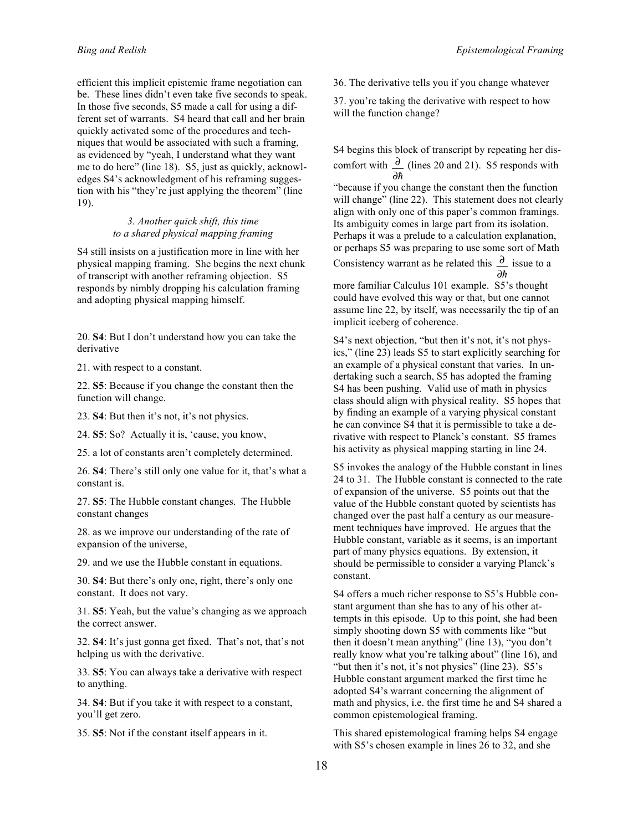efficient this implicit epistemic frame negotiation can be. These lines didn't even take five seconds to speak. In those five seconds, S5 made a call for using a different set of warrants. S4 heard that call and her brain quickly activated some of the procedures and techniques that would be associated with such a framing, as evidenced by "yeah, I understand what they want me to do here" (line 18). S5, just as quickly, acknowledges S4's acknowledgment of his reframing suggestion with his "they're just applying the theorem" (line 19).

#### *3. Another quick shift, this time to a shared physical mapping framing*

S4 still insists on a justification more in line with her physical mapping framing. She begins the next chunk of transcript with another reframing objection. S5 responds by nimbly dropping his calculation framing and adopting physical mapping himself.

20. **S4**: But I don't understand how you can take the derivative

21. with respect to a constant.

22. **S5**: Because if you change the constant then the function will change.

23. **S4**: But then it's not, it's not physics.

24. **S5**: So? Actually it is, 'cause, you know,

25. a lot of constants aren't completely determined.

26. **S4**: There's still only one value for it, that's what a constant is.

27. **S5**: The Hubble constant changes. The Hubble constant changes

28. as we improve our understanding of the rate of expansion of the universe,

29. and we use the Hubble constant in equations.

30. **S4**: But there's only one, right, there's only one constant. It does not vary.

31. **S5**: Yeah, but the value's changing as we approach the correct answer.

32. **S4**: It's just gonna get fixed. That's not, that's not helping us with the derivative.

33. **S5**: You can always take a derivative with respect to anything.

34. **S4**: But if you take it with respect to a constant, you'll get zero.

35. **S5**: Not if the constant itself appears in it.

36. The derivative tells you if you change whatever

37. you're taking the derivative with respect to how will the function change?

S4 begins this block of transcript by repeating her discomfort with  $\frac{\partial}{\partial \hbar}$  (lines 20 and 21). S5 responds with

"because if you change the constant then the function will change" (line 22). This statement does not clearly align with only one of this paper's common framings. Its ambiguity comes in large part from its isolation. Perhaps it was a prelude to a calculation explanation, or perhaps S5 was preparing to use some sort of Math Consistency warrant as he related this  $\frac{\partial}{\partial \hbar}$  issue to a

more familiar Calculus 101 example. S5's thought could have evolved this way or that, but one cannot assume line 22, by itself, was necessarily the tip of an implicit iceberg of coherence.

S4's next objection, "but then it's not, it's not physics," (line 23) leads S5 to start explicitly searching for an example of a physical constant that varies. In undertaking such a search, S5 has adopted the framing S4 has been pushing. Valid use of math in physics class should align with physical reality. S5 hopes that by finding an example of a varying physical constant he can convince S4 that it is permissible to take a derivative with respect to Planck's constant. S5 frames his activity as physical mapping starting in line 24.

S5 invokes the analogy of the Hubble constant in lines 24 to 31. The Hubble constant is connected to the rate of expansion of the universe. S5 points out that the value of the Hubble constant quoted by scientists has changed over the past half a century as our measurement techniques have improved. He argues that the Hubble constant, variable as it seems, is an important part of many physics equations. By extension, it should be permissible to consider a varying Planck's constant.

S4 offers a much richer response to S5's Hubble constant argument than she has to any of his other attempts in this episode. Up to this point, she had been simply shooting down S5 with comments like "but then it doesn't mean anything" (line 13), "you don't really know what you're talking about" (line 16), and "but then it's not, it's not physics" (line 23). S5's Hubble constant argument marked the first time he adopted S4's warrant concerning the alignment of math and physics, i.e. the first time he and S4 shared a common epistemological framing.

This shared epistemological framing helps S4 engage with S5's chosen example in lines 26 to 32, and she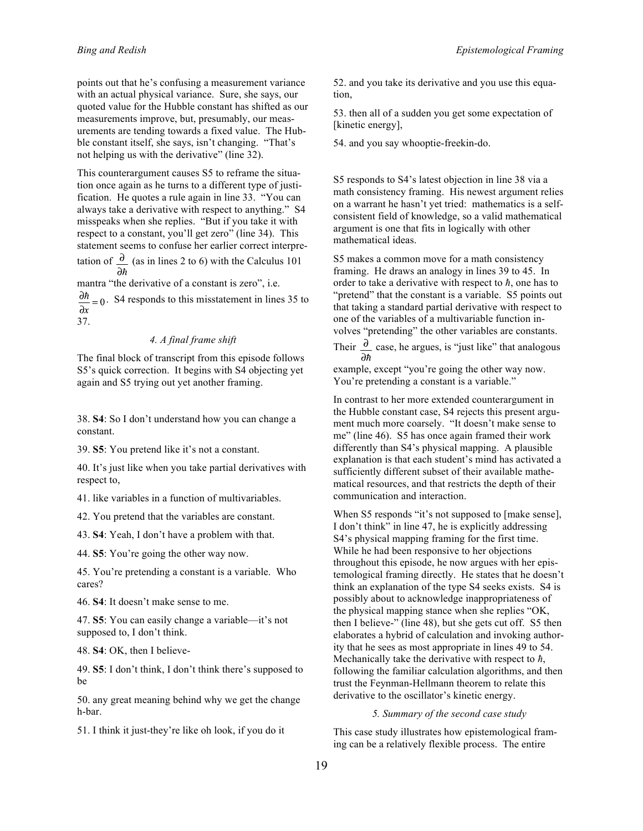points out that he's confusing a measurement variance with an actual physical variance. Sure, she says, our quoted value for the Hubble constant has shifted as our measurements improve, but, presumably, our measurements are tending towards a fixed value. The Hubble constant itself, she says, isn't changing. "That's not helping us with the derivative" (line 32).

This counterargument causes S5 to reframe the situation once again as he turns to a different type of justification. He quotes a rule again in line 33. "You can always take a derivative with respect to anything." S4 misspeaks when she replies. "But if you take it with respect to a constant, you'll get zero" (line 34). This statement seems to confuse her earlier correct interpre-

tation of  $\frac{\partial}{\partial \hbar}$  (as in lines 2 to 6) with the Calculus 101

mantra "the derivative of a constant is zero", i.e.

 $\frac{\partial h}{\partial z} = 0$ . S4 responds to this misstatement in lines 35 to  $\overline{\partial x}$ 

37.

#### *4. A final frame shift*

The final block of transcript from this episode follows S5's quick correction. It begins with S4 objecting yet again and S5 trying out yet another framing.

38. **S4**: So I don't understand how you can change a constant.

39. **S5**: You pretend like it's not a constant.

40. It's just like when you take partial derivatives with respect to,

41. like variables in a function of multivariables.

42. You pretend that the variables are constant.

43. **S4**: Yeah, I don't have a problem with that.

44. **S5**: You're going the other way now.

45. You're pretending a constant is a variable. Who cares?

46. **S4**: It doesn't make sense to me.

47. **S5**: You can easily change a variable—it's not supposed to, I don't think.

48. **S4**: OK, then I believe-

49. **S5**: I don't think, I don't think there's supposed to be

50. any great meaning behind why we get the change h-bar.

51. I think it just-they're like oh look, if you do it

52. and you take its derivative and you use this equation,

53. then all of a sudden you get some expectation of [kinetic energy],

54. and you say whooptie-freekin-do.

S5 responds to S4's latest objection in line 38 via a math consistency framing. His newest argument relies on a warrant he hasn't yet tried: mathematics is a selfconsistent field of knowledge, so a valid mathematical argument is one that fits in logically with other mathematical ideas.

S5 makes a common move for a math consistency framing. He draws an analogy in lines 39 to 45. In order to take a derivative with respect to  $\hbar$ , one has to "pretend" that the constant is a variable. S5 points out that taking a standard partial derivative with respect to one of the variables of a multivariable function involves "pretending" the other variables are constants.

Their  $\frac{\partial}{\partial \hbar}$  case, he argues, is "just like" that analogous

example, except "you're going the other way now. You're pretending a constant is a variable."

In contrast to her more extended counterargument in the Hubble constant case, S4 rejects this present argument much more coarsely. "It doesn't make sense to me" (line 46). S5 has once again framed their work differently than S4's physical mapping. A plausible explanation is that each student's mind has activated a sufficiently different subset of their available mathematical resources, and that restricts the depth of their communication and interaction.

When S5 responds "it's not supposed to [make sense], I don't think" in line 47, he is explicitly addressing S4's physical mapping framing for the first time. While he had been responsive to her objections throughout this episode, he now argues with her epistemological framing directly. He states that he doesn't think an explanation of the type S4 seeks exists. S4 is possibly about to acknowledge inappropriateness of the physical mapping stance when she replies "OK, then I believe-" (line 48), but she gets cut off. S5 then elaborates a hybrid of calculation and invoking authority that he sees as most appropriate in lines 49 to 54. Mechanically take the derivative with respect to *ħ*, following the familiar calculation algorithms, and then trust the Feynman-Hellmann theorem to relate this derivative to the oscillator's kinetic energy.

#### *5. Summary of the second case study*

This case study illustrates how epistemological framing can be a relatively flexible process. The entire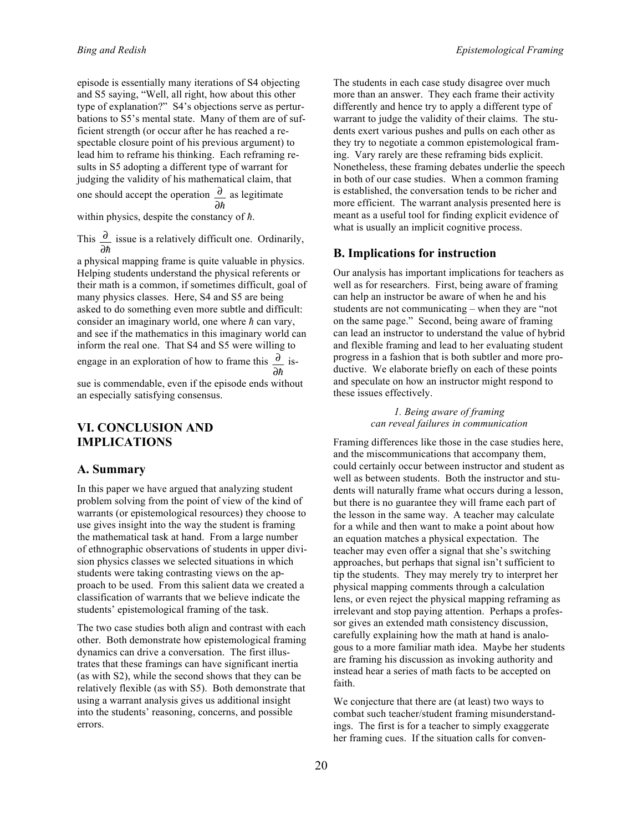episode is essentially many iterations of S4 objecting and S5 saying, "Well, all right, how about this other type of explanation?" S4's objections serve as perturbations to S5's mental state. Many of them are of sufficient strength (or occur after he has reached a respectable closure point of his previous argument) to lead him to reframe his thinking. Each reframing results in S5 adopting a different type of warrant for judging the validity of his mathematical claim, that one should accept the operation  $\frac{\partial}{\partial \hbar}$  as legitimate

within physics, despite the constancy of *ħ*.

This  $\frac{\partial}{\partial t}$  issue is a relatively difficult one. Ordinarily,

a physical mapping frame is quite valuable in physics. Helping students understand the physical referents or their math is a common, if sometimes difficult, goal of many physics classes. Here, S4 and S5 are being asked to do something even more subtle and difficult: consider an imaginary world, one where *ħ* can vary, and see if the mathematics in this imaginary world can inform the real one. That S4 and S5 were willing to engage in an exploration of how to frame this  $\frac{\partial}{\partial \hbar}$  is-

sue is commendable, even if the episode ends without an especially satisfying consensus.

## **VI. CONCLUSION AND IMPLICATIONS**

#### **A. Summary**

In this paper we have argued that analyzing student problem solving from the point of view of the kind of warrants (or epistemological resources) they choose to use gives insight into the way the student is framing the mathematical task at hand. From a large number of ethnographic observations of students in upper division physics classes we selected situations in which students were taking contrasting views on the approach to be used. From this salient data we created a classification of warrants that we believe indicate the students' epistemological framing of the task.

The two case studies both align and contrast with each other. Both demonstrate how epistemological framing dynamics can drive a conversation. The first illustrates that these framings can have significant inertia (as with S2), while the second shows that they can be relatively flexible (as with S5). Both demonstrate that using a warrant analysis gives us additional insight into the students' reasoning, concerns, and possible errors.

The students in each case study disagree over much more than an answer. They each frame their activity differently and hence try to apply a different type of warrant to judge the validity of their claims. The students exert various pushes and pulls on each other as they try to negotiate a common epistemological framing. Vary rarely are these reframing bids explicit. Nonetheless, these framing debates underlie the speech in both of our case studies. When a common framing is established, the conversation tends to be richer and more efficient. The warrant analysis presented here is meant as a useful tool for finding explicit evidence of what is usually an implicit cognitive process.

#### **B. Implications for instruction**

Our analysis has important implications for teachers as well as for researchers. First, being aware of framing can help an instructor be aware of when he and his students are not communicating – when they are "not on the same page." Second, being aware of framing can lead an instructor to understand the value of hybrid and flexible framing and lead to her evaluating student progress in a fashion that is both subtler and more productive. We elaborate briefly on each of these points and speculate on how an instructor might respond to these issues effectively.

> *1. Being aware of framing can reveal failures in communication*

Framing differences like those in the case studies here, and the miscommunications that accompany them, could certainly occur between instructor and student as well as between students. Both the instructor and students will naturally frame what occurs during a lesson, but there is no guarantee they will frame each part of the lesson in the same way. A teacher may calculate for a while and then want to make a point about how an equation matches a physical expectation. The teacher may even offer a signal that she's switching approaches, but perhaps that signal isn't sufficient to tip the students. They may merely try to interpret her physical mapping comments through a calculation lens, or even reject the physical mapping reframing as irrelevant and stop paying attention. Perhaps a professor gives an extended math consistency discussion, carefully explaining how the math at hand is analogous to a more familiar math idea. Maybe her students are framing his discussion as invoking authority and instead hear a series of math facts to be accepted on faith.

We conjecture that there are (at least) two ways to combat such teacher/student framing misunderstandings. The first is for a teacher to simply exaggerate her framing cues. If the situation calls for conven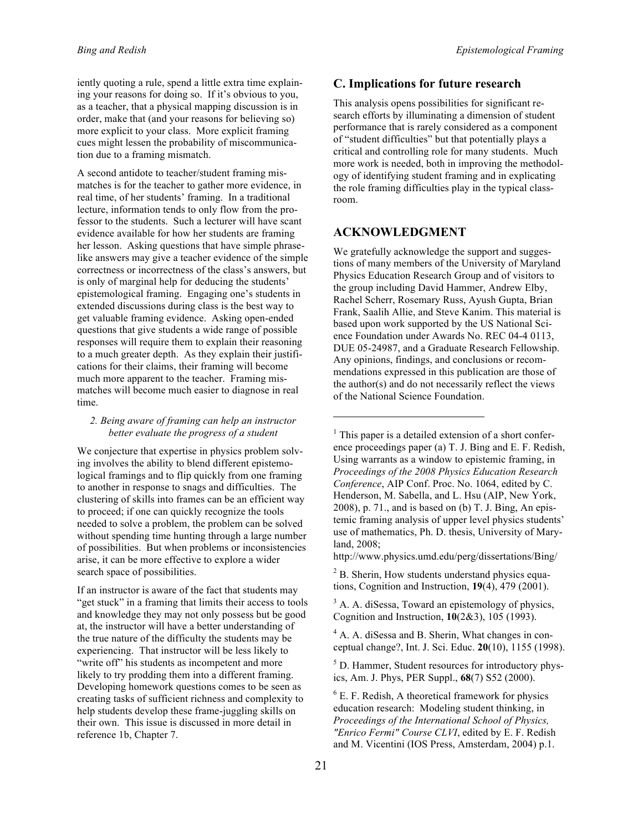iently quoting a rule, spend a little extra time explaining your reasons for doing so. If it's obvious to you, as a teacher, that a physical mapping discussion is in order, make that (and your reasons for believing so) more explicit to your class. More explicit framing cues might lessen the probability of miscommunication due to a framing mismatch.

A second antidote to teacher/student framing mismatches is for the teacher to gather more evidence, in real time, of her students' framing. In a traditional lecture, information tends to only flow from the professor to the students. Such a lecturer will have scant evidence available for how her students are framing her lesson. Asking questions that have simple phraselike answers may give a teacher evidence of the simple correctness or incorrectness of the class's answers, but is only of marginal help for deducing the students' epistemological framing. Engaging one's students in extended discussions during class is the best way to get valuable framing evidence. Asking open-ended questions that give students a wide range of possible responses will require them to explain their reasoning to a much greater depth. As they explain their justifications for their claims, their framing will become much more apparent to the teacher. Framing mismatches will become much easier to diagnose in real time.

#### *2. Being aware of framing can help an instructor better evaluate the progress of a student*

We conjecture that expertise in physics problem solving involves the ability to blend different epistemological framings and to flip quickly from one framing to another in response to snags and difficulties. The clustering of skills into frames can be an efficient way to proceed; if one can quickly recognize the tools needed to solve a problem, the problem can be solved without spending time hunting through a large number of possibilities. But when problems or inconsistencies arise, it can be more effective to explore a wider search space of possibilities.

If an instructor is aware of the fact that students may "get stuck" in a framing that limits their access to tools and knowledge they may not only possess but be good at, the instructor will have a better understanding of the true nature of the difficulty the students may be experiencing. That instructor will be less likely to "write off" his students as incompetent and more likely to try prodding them into a different framing. Developing homework questions comes to be seen as creating tasks of sufficient richness and complexity to help students develop these frame-juggling skills on their own. This issue is discussed in more detail in reference 1b, Chapter 7.

## **C. Implications for future research**

This analysis opens possibilities for significant research efforts by illuminating a dimension of student performance that is rarely considered as a component of "student difficulties" but that potentially plays a critical and controlling role for many students. Much more work is needed, both in improving the methodology of identifying student framing and in explicating the role framing difficulties play in the typical classroom.

## **ACKNOWLEDGMENT**

We gratefully acknowledge the support and suggestions of many members of the University of Maryland Physics Education Research Group and of visitors to the group including David Hammer, Andrew Elby, Rachel Scherr, Rosemary Russ, Ayush Gupta, Brian Frank, Saalih Allie, and Steve Kanim. This material is based upon work supported by the US National Science Foundation under Awards No. REC 04-4 0113, DUE 05-24987, and a Graduate Research Fellowship. Any opinions, findings, and conclusions or recommendations expressed in this publication are those of the author(s) and do not necessarily reflect the views of the National Science Foundation.

http://www.physics.umd.edu/perg/dissertations/Bing/

 $2^2$  B. Sherin, How students understand physics equations, Cognition and Instruction, **19**(4), 479 (2001).

 $3$  A. A. diSessa, Toward an epistemology of physics, Cognition and Instruction, **10**(2&3), 105 (1993).

<sup>4</sup> A. A. diSessa and B. Sherin, What changes in conceptual change?, Int. J. Sci. Educ. **20**(10), 1155 (1998).

<sup>5</sup> D. Hammer, Student resources for introductory physics, Am. J. Phys, PER Suppl., **68**(7) S52 (2000).

6 E. F. Redish, A theoretical framework for physics education research: Modeling student thinking, in *Proceedings of the International School of Physics, "Enrico Fermi" Course CLVI*, edited by E. F. Redish and M. Vicentini (IOS Press, Amsterdam, 2004) p.1.

1

<sup>&</sup>lt;sup>1</sup> This paper is a detailed extension of a short conference proceedings paper (a) T. J. Bing and E. F. Redish, Using warrants as a window to epistemic framing, in *Proceedings of the 2008 Physics Education Research Conference*, AIP Conf. Proc. No. 1064, edited by C. Henderson, M. Sabella, and L. Hsu (AIP, New York, 2008), p. 71., and is based on (b) T. J. Bing, An epistemic framing analysis of upper level physics students' use of mathematics, Ph. D. thesis, University of Maryland, 2008;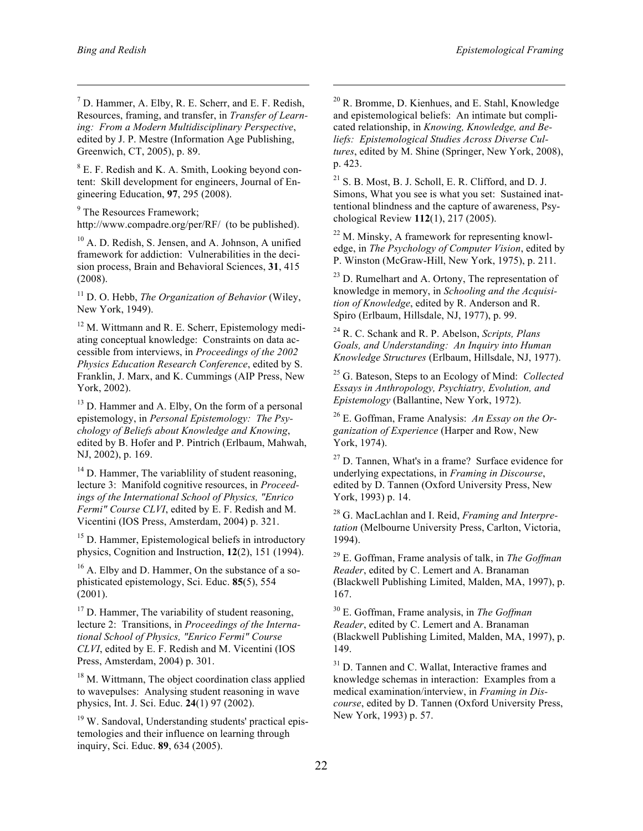1

 $<sup>7</sup>$  D. Hammer, A. Elby, R. E. Scherr, and E. F. Redish,</sup> Resources, framing, and transfer, in *Transfer of Learning: From a Modern Multidisciplinary Perspective*, edited by J. P. Mestre (Information Age Publishing, Greenwich, CT, 2005), p. 89.

<sup>8</sup> E. F. Redish and K. A. Smith, Looking beyond content: Skill development for engineers, Journal of Engineering Education, **97**, 295 (2008).

<sup>9</sup> The Resources Framework;

http://www.compadre.org/per/RF/ (to be published).

10 A. D. Redish, S. Jensen, and A. Johnson, A unified framework for addiction: Vulnerabilities in the decision process, Brain and Behavioral Sciences, **31**, 415 (2008).

11 D. O. Hebb, *The Organization of Behavior* (Wiley, New York, 1949).

 $12$  M. Wittmann and R. E. Scherr, Epistemology mediating conceptual knowledge: Constraints on data accessible from interviews, in *Proceedings of the 2002 Physics Education Research Conference*, edited by S. Franklin, J. Marx, and K. Cummings (AIP Press, New York, 2002).

<sup>13</sup> D. Hammer and A. Elby, On the form of a personal epistemology, in *Personal Epistemology: The Psychology of Beliefs about Knowledge and Knowing*, edited by B. Hofer and P. Pintrich (Erlbaum, Mahwah, NJ, 2002), p. 169.

 $14$  D. Hammer, The variablility of student reasoning, lecture 3: Manifold cognitive resources, in *Proceedings of the International School of Physics, "Enrico Fermi" Course CLVI*, edited by E. F. Redish and M. Vicentini (IOS Press, Amsterdam, 2004) p. 321.

<sup>15</sup> D. Hammer, Epistemological beliefs in introductory physics, Cognition and Instruction, **12**(2), 151 (1994).

16 A. Elby and D. Hammer, On the substance of a sophisticated epistemology, Sci. Educ. **85**(5), 554 (2001).

 $17$  D. Hammer, The variability of student reasoning, lecture 2: Transitions, in *Proceedings of the International School of Physics, "Enrico Fermi" Course CLVI*, edited by E. F. Redish and M. Vicentini (IOS Press, Amsterdam, 2004) p. 301.

 $18$  M. Wittmann, The object coordination class applied to wavepulses: Analysing student reasoning in wave physics, Int. J. Sci. Educ. **24**(1) 97 (2002).

<sup>19</sup> W. Sandoval, Understanding students' practical epistemologies and their influence on learning through inquiry, Sci. Educ. **89**, 634 (2005).

 $20$  R. Bromme, D. Kienhues, and E. Stahl, Knowledge and epistemological beliefs: An intimate but complicated relationship, in *Knowing, Knowledge, and Beliefs: Epistemological Studies Across Diverse Cultures*, edited by M. Shine (Springer, New York, 2008), p. 423.

 $\overline{a}$ 

21 S. B. Most, B. J. Scholl, E. R. Clifford, and D. J. Simons, What you see is what you set: Sustained inattentional blindness and the capture of awareness, Psychological Review **112**(1), 217 (2005).

 $22$  M. Minsky, A framework for representing knowledge, in *The Psychology of Computer Vision*, edited by P. Winston (McGraw-Hill, New York, 1975), p. 211.

23 D. Rumelhart and A. Ortony, The representation of knowledge in memory, in *Schooling and the Acquisition of Knowledge*, edited by R. Anderson and R. Spiro (Erlbaum, Hillsdale, NJ, 1977), p. 99.

24 R. C. Schank and R. P. Abelson, *Scripts, Plans Goals, and Understanding: An Inquiry into Human Knowledge Structures* (Erlbaum, Hillsdale, NJ, 1977).

25 G. Bateson, Steps to an Ecology of Mind: *Collected Essays in Anthropology, Psychiatry, Evolution, and Epistemology* (Ballantine, New York, 1972).

26 E. Goffman, Frame Analysis: *An Essay on the Organization of Experience* (Harper and Row, New York, 1974).

 $27$  D. Tannen, What's in a frame? Surface evidence for underlying expectations, in *Framing in Discourse*, edited by D. Tannen (Oxford University Press, New York, 1993) p. 14.

28 G. MacLachlan and I. Reid, *Framing and Interpretation* (Melbourne University Press, Carlton, Victoria, 1994).

29 E. Goffman, Frame analysis of talk, in *The Goffman Reader*, edited by C. Lemert and A. Branaman (Blackwell Publishing Limited, Malden, MA, 1997), p. 167.

30 E. Goffman, Frame analysis, in *The Goffman Reader*, edited by C. Lemert and A. Branaman (Blackwell Publishing Limited, Malden, MA, 1997), p. 149.

 $31$  D. Tannen and C. Wallat, Interactive frames and knowledge schemas in interaction: Examples from a medical examination/interview, in *Framing in Discourse*, edited by D. Tannen (Oxford University Press, New York, 1993) p. 57.